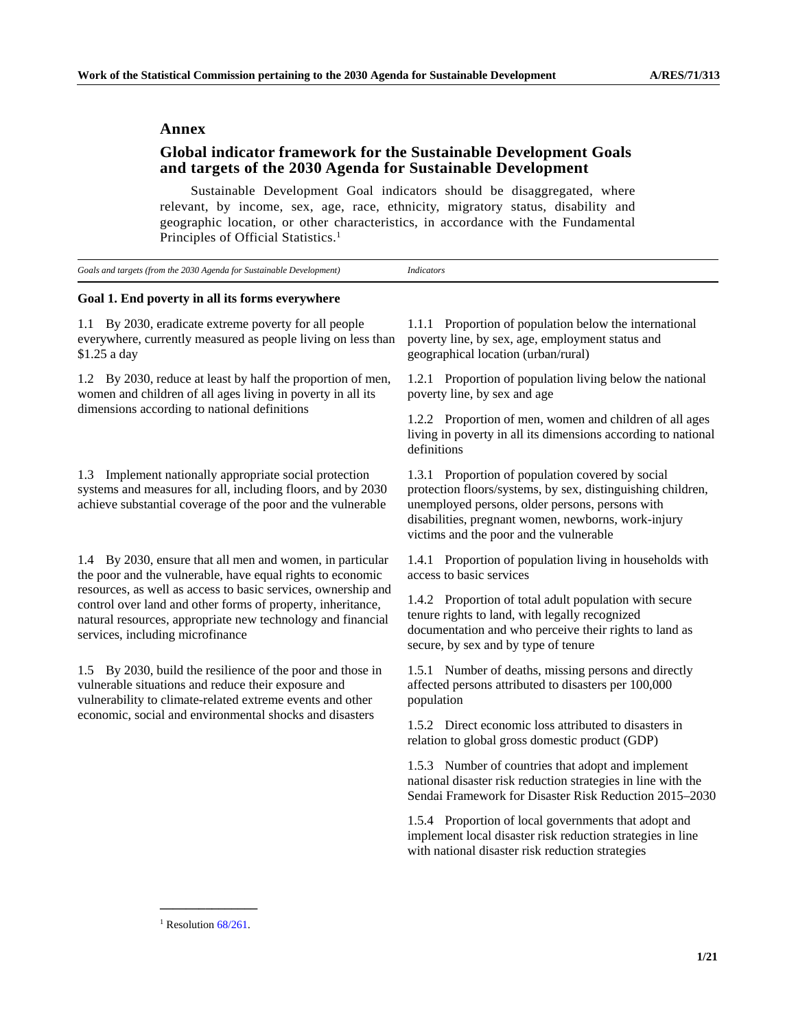### **Annex**

# **Global indicator framework for the Sustainable Development Goals and targets of the 2030 Agenda for Sustainable Development**

 Sustainable Development Goal indicators should be disaggregated, where relevant, by income, sex, age, race, ethnicity, migratory status, disability and geographic location, or other characteristics, in accordance with the Fundamental Principles of Official Statistics.<sup>1</sup>

| Goals and targets (from the 2030 Agenda for Sustainable Development) |
|----------------------------------------------------------------------|
|----------------------------------------------------------------------|

# **Goal 1. End poverty in all its forms everywhere**

1.1 By 2030, eradicate extreme poverty for all people everywhere, currently measured as people living on less than \$1.25 a day

1.2 By 2030, reduce at least by half the proportion of men, women and children of all ages living in poverty in all its dimensions according to national definitions

1.3 Implement nationally appropriate social protection systems and measures for all, including floors, and by 2030 achieve substantial coverage of the poor and the vulnerable

1.4 By 2030, ensure that all men and women, in particular the poor and the vulnerable, have equal rights to economic resources, as well as access to basic services, ownership and control over land and other forms of property, inheritance, natural resources, appropriate new technology and financial services, including microfinance

1.5 By 2030, build the resilience of the poor and those in vulnerable situations and reduce their exposure and vulnerability to climate-related extreme events and other economic, social and environmental shocks and disasters

1.1.1 Proportion of population below the international poverty line, by sex, age, employment status and geographical location (urban/rural)

1.2.1 Proportion of population living below the national poverty line, by sex and age

1.2.2 Proportion of men, women and children of all ages living in poverty in all its dimensions according to national definitions

1.3.1 Proportion of population covered by social protection floors/systems, by sex, distinguishing children, unemployed persons, older persons, persons with disabilities, pregnant women, newborns, work-injury victims and the poor and the vulnerable

1.4.1 Proportion of population living in households with access to basic services

1.4.2 Proportion of total adult population with secure tenure rights to land, with legally recognized documentation and who perceive their rights to land as secure, by sex and by type of tenure

1.5.1 Number of deaths, missing persons and directly affected persons attributed to disasters per 100,000 population

1.5.2 Direct economic loss attributed to disasters in relation to global gross domestic product (GDP)

 1.5.3 Number of countries that adopt and implement national disaster risk reduction strategies in line with the Sendai Framework for Disaster Risk Reduction 2015–2030

 1.5.4 Proportion of local governments that adopt and implement local disaster risk reduction strategies in line with national disaster risk reduction strategies

**\_\_\_\_\_\_\_\_\_\_\_\_\_\_\_**  <sup>1</sup> Resolution  $68/261$ .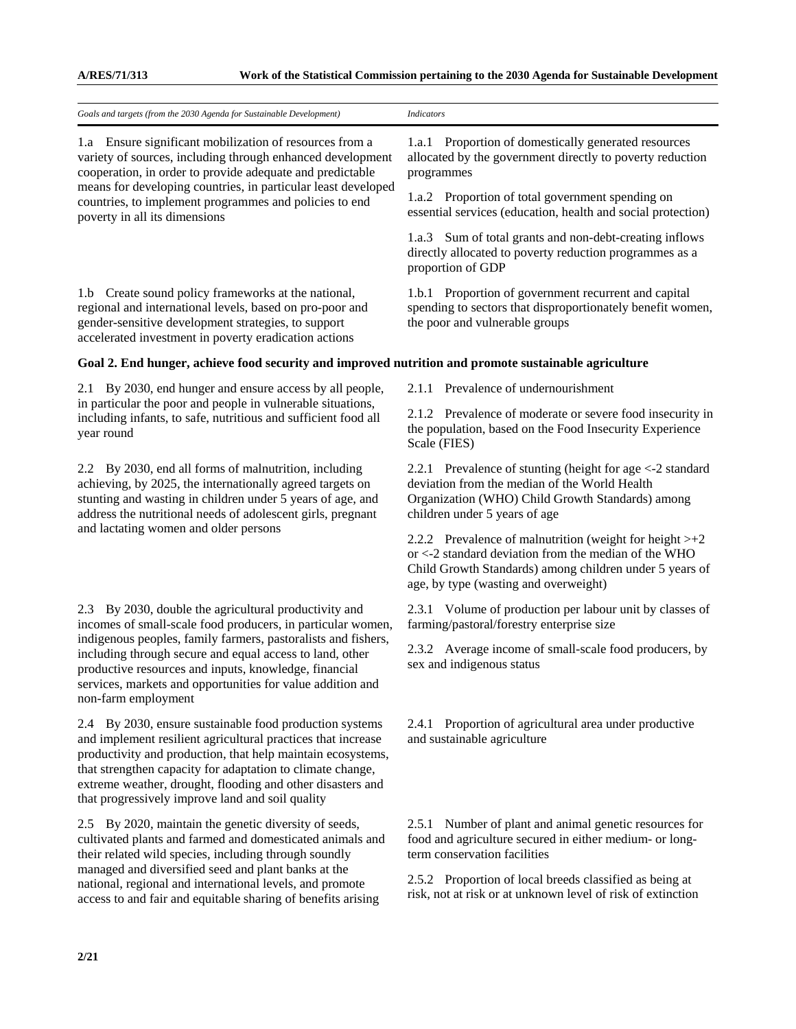| Goals and targets (from the 2030 Agenda for Sustainable Development)                                                                                                                                                                                                                                                                                                                            | <b>Indicators</b>                                                                                                                                                                                                              |
|-------------------------------------------------------------------------------------------------------------------------------------------------------------------------------------------------------------------------------------------------------------------------------------------------------------------------------------------------------------------------------------------------|--------------------------------------------------------------------------------------------------------------------------------------------------------------------------------------------------------------------------------|
| 1.a Ensure significant mobilization of resources from a<br>variety of sources, including through enhanced development<br>cooperation, in order to provide adequate and predictable<br>means for developing countries, in particular least developed<br>countries, to implement programmes and policies to end<br>poverty in all its dimensions                                                  | Proportion of domestically generated resources<br>1.a.1<br>allocated by the government directly to poverty reduction<br>programmes                                                                                             |
|                                                                                                                                                                                                                                                                                                                                                                                                 | 1.a.2 Proportion of total government spending on<br>essential services (education, health and social protection)                                                                                                               |
|                                                                                                                                                                                                                                                                                                                                                                                                 | 1.a.3 Sum of total grants and non-debt-creating inflows<br>directly allocated to poverty reduction programmes as a<br>proportion of GDP                                                                                        |
| 1.b Create sound policy frameworks at the national,<br>regional and international levels, based on pro-poor and<br>gender-sensitive development strategies, to support<br>accelerated investment in poverty eradication actions                                                                                                                                                                 | 1.b.1 Proportion of government recurrent and capital<br>spending to sectors that disproportionately benefit women,<br>the poor and vulnerable groups                                                                           |
| Goal 2. End hunger, achieve food security and improved nutrition and promote sustainable agriculture                                                                                                                                                                                                                                                                                            |                                                                                                                                                                                                                                |
| 2.1 By 2030, end hunger and ensure access by all people,                                                                                                                                                                                                                                                                                                                                        | 2.1.1 Prevalence of undernourishment                                                                                                                                                                                           |
| in particular the poor and people in vulnerable situations,<br>including infants, to safe, nutritious and sufficient food all<br>year round                                                                                                                                                                                                                                                     | 2.1.2 Prevalence of moderate or severe food insecurity in<br>the population, based on the Food Insecurity Experience<br>Scale (FIES)                                                                                           |
| By 2030, end all forms of malnutrition, including<br>2.2<br>achieving, by 2025, the internationally agreed targets on<br>stunting and wasting in children under 5 years of age, and<br>address the nutritional needs of adolescent girls, pregnant<br>and lactating women and older persons                                                                                                     | 2.2.1 Prevalence of stunting (height for age <-2 standard<br>deviation from the median of the World Health<br>Organization (WHO) Child Growth Standards) among<br>children under 5 years of age                                |
|                                                                                                                                                                                                                                                                                                                                                                                                 | 2.2.2 Prevalence of malnutrition (weight for height $>+2$<br>or $\langle$ -2 standard deviation from the median of the WHO<br>Child Growth Standards) among children under 5 years of<br>age, by type (wasting and overweight) |
| 2.3 By 2030, double the agricultural productivity and<br>incomes of small-scale food producers, in particular women,<br>indigenous peoples, family farmers, pastoralists and fishers,<br>including through secure and equal access to land, other<br>productive resources and inputs, knowledge, financial<br>services, markets and opportunities for value addition and<br>non-farm employment | 2.3.1 Volume of production per labour unit by classes of<br>farming/pastoral/forestry enterprise size                                                                                                                          |
|                                                                                                                                                                                                                                                                                                                                                                                                 | 2.3.2 Average income of small-scale food producers, by<br>sex and indigenous status                                                                                                                                            |
| 2.4 By 2030, ensure sustainable food production systems<br>and implement resilient agricultural practices that increase<br>productivity and production, that help maintain ecosystems,<br>that strengthen capacity for adaptation to climate change,<br>extreme weather, drought, flooding and other disasters and<br>that progressively improve land and soil quality                          | 2.4.1 Proportion of agricultural area under productive<br>and sustainable agriculture                                                                                                                                          |
| 2.5 By 2020, maintain the genetic diversity of seeds,                                                                                                                                                                                                                                                                                                                                           | Number of plant and animal genetic resources for<br>2.5.1                                                                                                                                                                      |

2.5 By 2020, maintain the genetic diversity of seeds, cultivated plants and farmed and domesticated animals and their related wild species, including through soundly managed and diversified seed and plant banks at the national, regional and international levels, and promote access to and fair and equitable sharing of benefits arising

2.5.2 Proportion of local breeds classified as being at risk, not at risk or at unknown level of risk of extinction

food and agriculture secured in either medium- or long-

term conservation facilities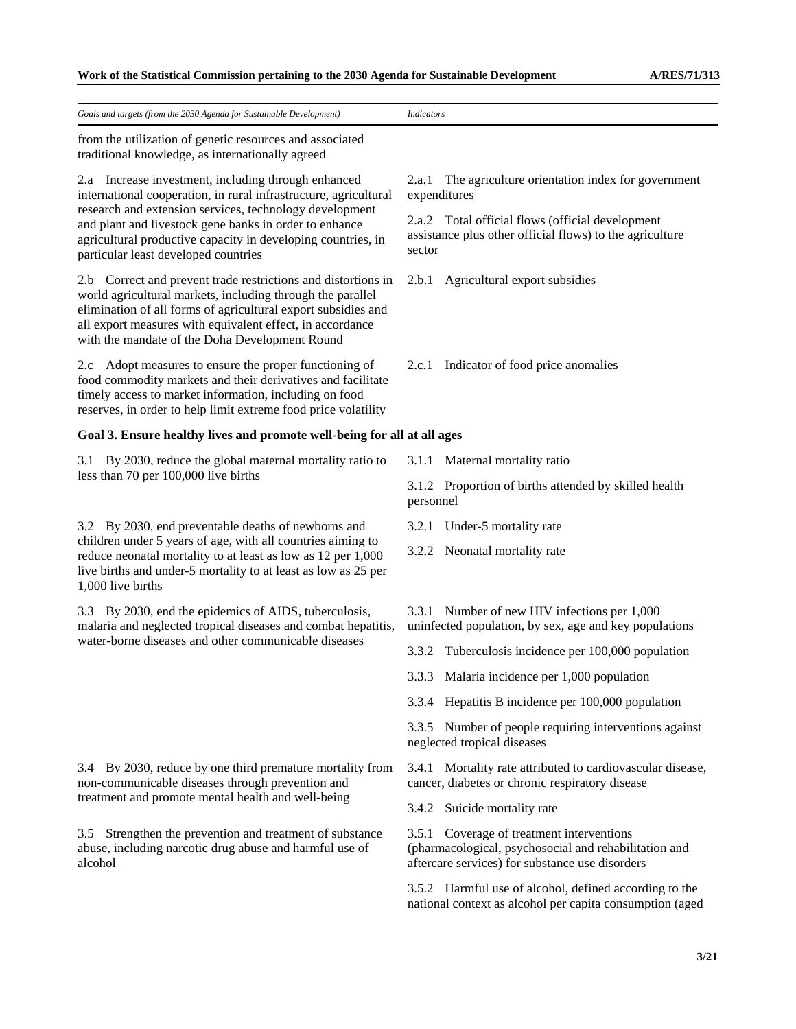| Goals and targets (from the 2030 Agenda for Sustainable Development)                                                                                                                                                                                                                                                                                 | <b>Indicators</b>                                                                                                                                     |
|------------------------------------------------------------------------------------------------------------------------------------------------------------------------------------------------------------------------------------------------------------------------------------------------------------------------------------------------------|-------------------------------------------------------------------------------------------------------------------------------------------------------|
| from the utilization of genetic resources and associated<br>traditional knowledge, as internationally agreed                                                                                                                                                                                                                                         |                                                                                                                                                       |
| 2.a Increase investment, including through enhanced<br>international cooperation, in rural infrastructure, agricultural<br>research and extension services, technology development<br>and plant and livestock gene banks in order to enhance<br>agricultural productive capacity in developing countries, in<br>particular least developed countries | The agriculture orientation index for government<br>2.a.1<br>expenditures                                                                             |
|                                                                                                                                                                                                                                                                                                                                                      | 2.a.2 Total official flows (official development<br>assistance plus other official flows) to the agriculture<br>sector                                |
| 2.b Correct and prevent trade restrictions and distortions in<br>world agricultural markets, including through the parallel<br>elimination of all forms of agricultural export subsidies and<br>all export measures with equivalent effect, in accordance<br>with the mandate of the Doha Development Round                                          | 2.b.1 Agricultural export subsidies                                                                                                                   |
| 2.c Adopt measures to ensure the proper functioning of<br>food commodity markets and their derivatives and facilitate<br>timely access to market information, including on food<br>reserves, in order to help limit extreme food price volatility                                                                                                    | Indicator of food price anomalies<br>2.c.1                                                                                                            |
| Goal 3. Ensure healthy lives and promote well-being for all at all ages                                                                                                                                                                                                                                                                              |                                                                                                                                                       |
| By 2030, reduce the global maternal mortality ratio to<br>3.1                                                                                                                                                                                                                                                                                        | 3.1.1 Maternal mortality ratio                                                                                                                        |
| less than 70 per 100,000 live births                                                                                                                                                                                                                                                                                                                 | 3.1.2 Proportion of births attended by skilled health<br>personnel                                                                                    |
| 3.2 By 2030, end preventable deaths of newborns and                                                                                                                                                                                                                                                                                                  | Under-5 mortality rate<br>3.2.1                                                                                                                       |
| children under 5 years of age, with all countries aiming to<br>reduce neonatal mortality to at least as low as 12 per 1,000<br>live births and under-5 mortality to at least as low as 25 per<br>1,000 live births                                                                                                                                   | 3.2.2 Neonatal mortality rate                                                                                                                         |
| 3.3 By 2030, end the epidemics of AIDS, tuberculosis,<br>malaria and neglected tropical diseases and combat hepatitis,<br>water-borne diseases and other communicable diseases                                                                                                                                                                       | 3.3.1 Number of new HIV infections per 1,000<br>uninfected population, by sex, age and key populations                                                |
|                                                                                                                                                                                                                                                                                                                                                      | 3.3.2 Tuberculosis incidence per 100,000 population                                                                                                   |
|                                                                                                                                                                                                                                                                                                                                                      | 3.3.3 Malaria incidence per 1,000 population                                                                                                          |
|                                                                                                                                                                                                                                                                                                                                                      | 3.3.4 Hepatitis B incidence per 100,000 population                                                                                                    |
|                                                                                                                                                                                                                                                                                                                                                      | 3.3.5 Number of people requiring interventions against<br>neglected tropical diseases                                                                 |
| 3.4 By 2030, reduce by one third premature mortality from<br>non-communicable diseases through prevention and<br>treatment and promote mental health and well-being                                                                                                                                                                                  | 3.4.1 Mortality rate attributed to cardiovascular disease,<br>cancer, diabetes or chronic respiratory disease                                         |
|                                                                                                                                                                                                                                                                                                                                                      | 3.4.2 Suicide mortality rate                                                                                                                          |
| Strengthen the prevention and treatment of substance<br>3.5<br>abuse, including narcotic drug abuse and harmful use of<br>alcohol                                                                                                                                                                                                                    | 3.5.1 Coverage of treatment interventions<br>(pharmacological, psychosocial and rehabilitation and<br>aftercare services) for substance use disorders |
|                                                                                                                                                                                                                                                                                                                                                      | 3.5.2 Harmful use of alcohol, defined according to the<br>national context as alcohol per capita consumption (aged                                    |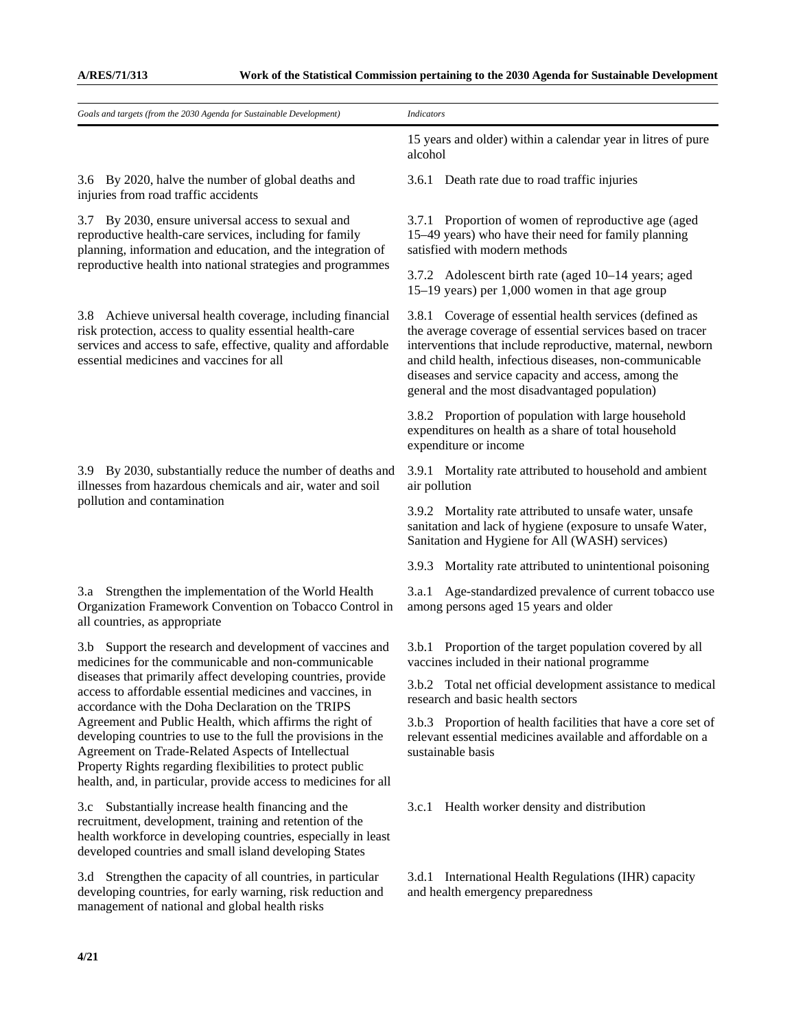| Goals and targets (from the 2030 Agenda for Sustainable Development)                                                                                                                                                                                                                                                                                                                                                                                                                                                                                                                                                   | <b>Indicators</b>                                                                                                                                                                                                                                                                                                                                       |
|------------------------------------------------------------------------------------------------------------------------------------------------------------------------------------------------------------------------------------------------------------------------------------------------------------------------------------------------------------------------------------------------------------------------------------------------------------------------------------------------------------------------------------------------------------------------------------------------------------------------|---------------------------------------------------------------------------------------------------------------------------------------------------------------------------------------------------------------------------------------------------------------------------------------------------------------------------------------------------------|
|                                                                                                                                                                                                                                                                                                                                                                                                                                                                                                                                                                                                                        | 15 years and older) within a calendar year in litres of pure<br>alcohol                                                                                                                                                                                                                                                                                 |
| 3.6 By 2020, halve the number of global deaths and<br>injuries from road traffic accidents                                                                                                                                                                                                                                                                                                                                                                                                                                                                                                                             | 3.6.1 Death rate due to road traffic injuries                                                                                                                                                                                                                                                                                                           |
| 3.7 By 2030, ensure universal access to sexual and<br>reproductive health-care services, including for family<br>planning, information and education, and the integration of<br>reproductive health into national strategies and programmes                                                                                                                                                                                                                                                                                                                                                                            | 3.7.1 Proportion of women of reproductive age (aged<br>15–49 years) who have their need for family planning<br>satisfied with modern methods                                                                                                                                                                                                            |
|                                                                                                                                                                                                                                                                                                                                                                                                                                                                                                                                                                                                                        | 3.7.2 Adolescent birth rate (aged 10–14 years; aged<br>15–19 years) per 1,000 women in that age group                                                                                                                                                                                                                                                   |
| 3.8 Achieve universal health coverage, including financial<br>risk protection, access to quality essential health-care<br>services and access to safe, effective, quality and affordable<br>essential medicines and vaccines for all                                                                                                                                                                                                                                                                                                                                                                                   | 3.8.1 Coverage of essential health services (defined as<br>the average coverage of essential services based on tracer<br>interventions that include reproductive, maternal, newborn<br>and child health, infectious diseases, non-communicable<br>diseases and service capacity and access, among the<br>general and the most disadvantaged population) |
|                                                                                                                                                                                                                                                                                                                                                                                                                                                                                                                                                                                                                        | 3.8.2 Proportion of population with large household<br>expenditures on health as a share of total household<br>expenditure or income                                                                                                                                                                                                                    |
| 3.9 By 2030, substantially reduce the number of deaths and<br>illnesses from hazardous chemicals and air, water and soil                                                                                                                                                                                                                                                                                                                                                                                                                                                                                               | 3.9.1 Mortality rate attributed to household and ambient<br>air pollution                                                                                                                                                                                                                                                                               |
| pollution and contamination                                                                                                                                                                                                                                                                                                                                                                                                                                                                                                                                                                                            | 3.9.2 Mortality rate attributed to unsafe water, unsafe<br>sanitation and lack of hygiene (exposure to unsafe Water,<br>Sanitation and Hygiene for All (WASH) services)                                                                                                                                                                                 |
|                                                                                                                                                                                                                                                                                                                                                                                                                                                                                                                                                                                                                        | 3.9.3 Mortality rate attributed to unintentional poisoning                                                                                                                                                                                                                                                                                              |
| 3.a Strengthen the implementation of the World Health<br>Organization Framework Convention on Tobacco Control in<br>all countries, as appropriate                                                                                                                                                                                                                                                                                                                                                                                                                                                                      | Age-standardized prevalence of current tobacco use<br>3.a.1<br>among persons aged 15 years and older                                                                                                                                                                                                                                                    |
| Support the research and development of vaccines and<br>3.b<br>medicines for the communicable and non-communicable<br>diseases that primarily affect developing countries, provide<br>access to affordable essential medicines and vaccines, in<br>accordance with the Doha Declaration on the TRIPS<br>Agreement and Public Health, which affirms the right of<br>developing countries to use to the full the provisions in the<br>Agreement on Trade-Related Aspects of Intellectual<br>Property Rights regarding flexibilities to protect public<br>health, and, in particular, provide access to medicines for all | 3.b.1 Proportion of the target population covered by all<br>vaccines included in their national programme                                                                                                                                                                                                                                               |
|                                                                                                                                                                                                                                                                                                                                                                                                                                                                                                                                                                                                                        | 3.b.2 Total net official development assistance to medical<br>research and basic health sectors                                                                                                                                                                                                                                                         |
|                                                                                                                                                                                                                                                                                                                                                                                                                                                                                                                                                                                                                        | 3.b.3 Proportion of health facilities that have a core set of<br>relevant essential medicines available and affordable on a<br>sustainable basis                                                                                                                                                                                                        |
| 3.c Substantially increase health financing and the<br>recruitment, development, training and retention of the<br>health workforce in developing countries, especially in least<br>developed countries and small island developing States                                                                                                                                                                                                                                                                                                                                                                              | Health worker density and distribution<br>3.c.1                                                                                                                                                                                                                                                                                                         |
| 3.d Strengthen the capacity of all countries, in particular<br>developing countries, for early warning, risk reduction and                                                                                                                                                                                                                                                                                                                                                                                                                                                                                             | 3.d.1 International Health Regulations (IHR) capacity<br>and health emergency preparedness                                                                                                                                                                                                                                                              |

management of national and global health risks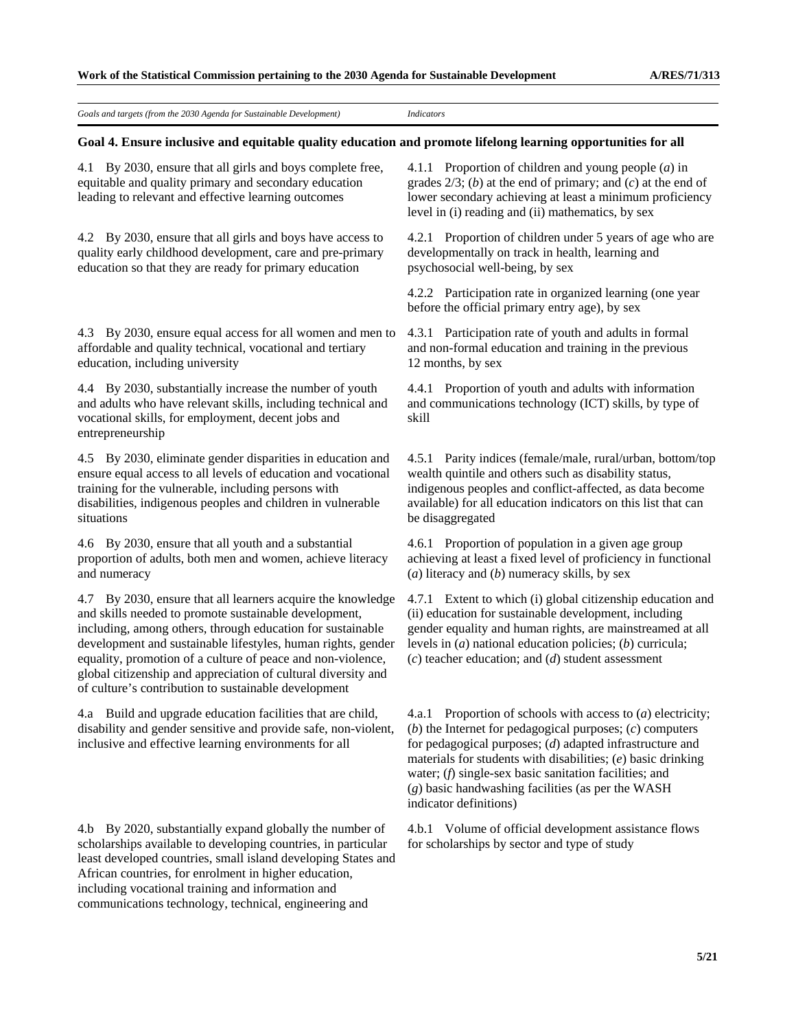*Goals and targets (from the 2030 Agenda for Sustainable Development) Indicators* 

#### **Goal 4. Ensure inclusive and equitable quality education and promote lifelong learning opportunities for all**

4.1 By 2030, ensure that all girls and boys complete free, equitable and quality primary and secondary education leading to relevant and effective learning outcomes

4.2 By 2030, ensure that all girls and boys have access to quality early childhood development, care and pre-primary education so that they are ready for primary education

4.3 By 2030, ensure equal access for all women and men to affordable and quality technical, vocational and tertiary education, including university

4.4 By 2030, substantially increase the number of youth and adults who have relevant skills, including technical and vocational skills, for employment, decent jobs and entrepreneurship

4.5 By 2030, eliminate gender disparities in education and ensure equal access to all levels of education and vocational training for the vulnerable, including persons with disabilities, indigenous peoples and children in vulnerable situations

4.6 By 2030, ensure that all youth and a substantial proportion of adults, both men and women, achieve literacy and numeracy

4.7 By 2030, ensure that all learners acquire the knowledge and skills needed to promote sustainable development, including, among others, through education for sustainable development and sustainable lifestyles, human rights, gender equality, promotion of a culture of peace and non-violence, global citizenship and appreciation of cultural diversity and of culture's contribution to sustainable development

4.a Build and upgrade education facilities that are child, disability and gender sensitive and provide safe, non-violent, inclusive and effective learning environments for all

4.b By 2020, substantially expand globally the number of scholarships available to developing countries, in particular least developed countries, small island developing States and African countries, for enrolment in higher education, including vocational training and information and communications technology, technical, engineering and

4.1.1 Proportion of children and young people (*a*) in grades 2/3; (*b*) at the end of primary; and (*c*) at the end of lower secondary achieving at least a minimum proficiency level in (i) reading and (ii) mathematics, by sex

4.2.1 Proportion of children under 5 years of age who are developmentally on track in health, learning and psychosocial well-being, by sex

4.2.2 Participation rate in organized learning (one year before the official primary entry age), by sex

4.3.1 Participation rate of youth and adults in formal and non-formal education and training in the previous 12 months, by sex

4.4.1 Proportion of youth and adults with information and communications technology (ICT) skills, by type of skill

4.5.1 Parity indices (female/male, rural/urban, bottom/top wealth quintile and others such as disability status, indigenous peoples and conflict-affected, as data become available) for all education indicators on this list that can be disaggregated

4.6.1 Proportion of population in a given age group achieving at least a fixed level of proficiency in functional (*a*) literacy and (*b*) numeracy skills, by sex

4.7.1 Extent to which (i) global citizenship education and (ii) education for sustainable development, including gender equality and human rights, are mainstreamed at all levels in (*a*) national education policies; (*b*) curricula; (*c*) teacher education; and (*d*) student assessment

4.a.1 Proportion of schools with access to (*a*) electricity; (*b*) the Internet for pedagogical purposes; (*c*) computers for pedagogical purposes; (*d*) adapted infrastructure and materials for students with disabilities; (*e*) basic drinking water; (*f*) single-sex basic sanitation facilities; and (*g*) basic handwashing facilities (as per the WASH indicator definitions)

4.b.1 Volume of official development assistance flows for scholarships by sector and type of study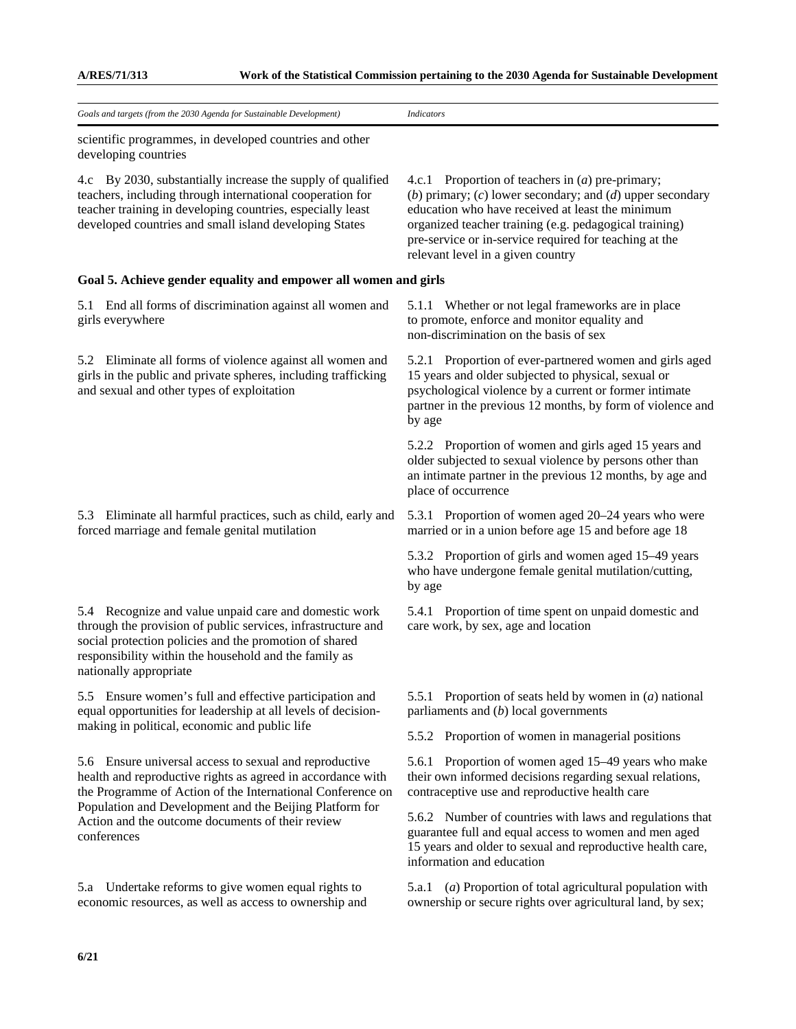**A/RES/71/313 Work of the Statistical Commission pertaining to the 2030 Agenda for Sustainable Development**

| Goals and targets (from the 2030 Agenda for Sustainable Development)                                                                                                                                                                                                                                              | <b>Indicators</b>                                                                                                                                                                                                                                                                                                            |
|-------------------------------------------------------------------------------------------------------------------------------------------------------------------------------------------------------------------------------------------------------------------------------------------------------------------|------------------------------------------------------------------------------------------------------------------------------------------------------------------------------------------------------------------------------------------------------------------------------------------------------------------------------|
| scientific programmes, in developed countries and other<br>developing countries                                                                                                                                                                                                                                   |                                                                                                                                                                                                                                                                                                                              |
| By 2030, substantially increase the supply of qualified<br>4.c<br>teachers, including through international cooperation for<br>teacher training in developing countries, especially least<br>developed countries and small island developing States                                                               | 4.c.1 Proportion of teachers in $(a)$ pre-primary;<br>(b) primary; (c) lower secondary; and (d) upper secondary<br>education who have received at least the minimum<br>organized teacher training (e.g. pedagogical training)<br>pre-service or in-service required for teaching at the<br>relevant level in a given country |
| Goal 5. Achieve gender equality and empower all women and girls                                                                                                                                                                                                                                                   |                                                                                                                                                                                                                                                                                                                              |
| End all forms of discrimination against all women and<br>5.1<br>girls everywhere                                                                                                                                                                                                                                  | 5.1.1 Whether or not legal frameworks are in place<br>to promote, enforce and monitor equality and<br>non-discrimination on the basis of sex                                                                                                                                                                                 |
| Eliminate all forms of violence against all women and<br>5.2<br>girls in the public and private spheres, including trafficking<br>and sexual and other types of exploitation                                                                                                                                      | 5.2.1 Proportion of ever-partnered women and girls aged<br>15 years and older subjected to physical, sexual or<br>psychological violence by a current or former intimate<br>partner in the previous 12 months, by form of violence and<br>by age                                                                             |
|                                                                                                                                                                                                                                                                                                                   | 5.2.2 Proportion of women and girls aged 15 years and<br>older subjected to sexual violence by persons other than<br>an intimate partner in the previous 12 months, by age and<br>place of occurrence                                                                                                                        |
| 5.3 Eliminate all harmful practices, such as child, early and<br>forced marriage and female genital mutilation                                                                                                                                                                                                    | 5.3.1 Proportion of women aged 20–24 years who were<br>married or in a union before age 15 and before age 18                                                                                                                                                                                                                 |
|                                                                                                                                                                                                                                                                                                                   | 5.3.2 Proportion of girls and women aged 15–49 years<br>who have undergone female genital mutilation/cutting,<br>by age                                                                                                                                                                                                      |
| 5.4 Recognize and value unpaid care and domestic work<br>through the provision of public services, infrastructure and<br>social protection policies and the promotion of shared<br>responsibility within the household and the family as<br>nationally appropriate                                                | 5.4.1 Proportion of time spent on unpaid domestic and<br>care work, by sex, age and location                                                                                                                                                                                                                                 |
| 5.5 Ensure women's full and effective participation and<br>equal opportunities for leadership at all levels of decision-<br>making in political, economic and public life                                                                                                                                         | 5.5.1 Proportion of seats held by women in $(a)$ national<br>parliaments and $(b)$ local governments                                                                                                                                                                                                                         |
|                                                                                                                                                                                                                                                                                                                   | 5.5.2 Proportion of women in managerial positions                                                                                                                                                                                                                                                                            |
| 5.6 Ensure universal access to sexual and reproductive<br>health and reproductive rights as agreed in accordance with<br>the Programme of Action of the International Conference on<br>Population and Development and the Beijing Platform for<br>Action and the outcome documents of their review<br>conferences | 5.6.1 Proportion of women aged 15–49 years who make<br>their own informed decisions regarding sexual relations,<br>contraceptive use and reproductive health care                                                                                                                                                            |
|                                                                                                                                                                                                                                                                                                                   | 5.6.2 Number of countries with laws and regulations that<br>guarantee full and equal access to women and men aged<br>15 years and older to sexual and reproductive health care,<br>information and education                                                                                                                 |
| 5.a Undertake reforms to give women equal rights to<br>economic resources, as well as access to ownership and                                                                                                                                                                                                     | 5.a.1 (a) Proportion of total agricultural population with<br>ownership or secure rights over agricultural land, by sex;                                                                                                                                                                                                     |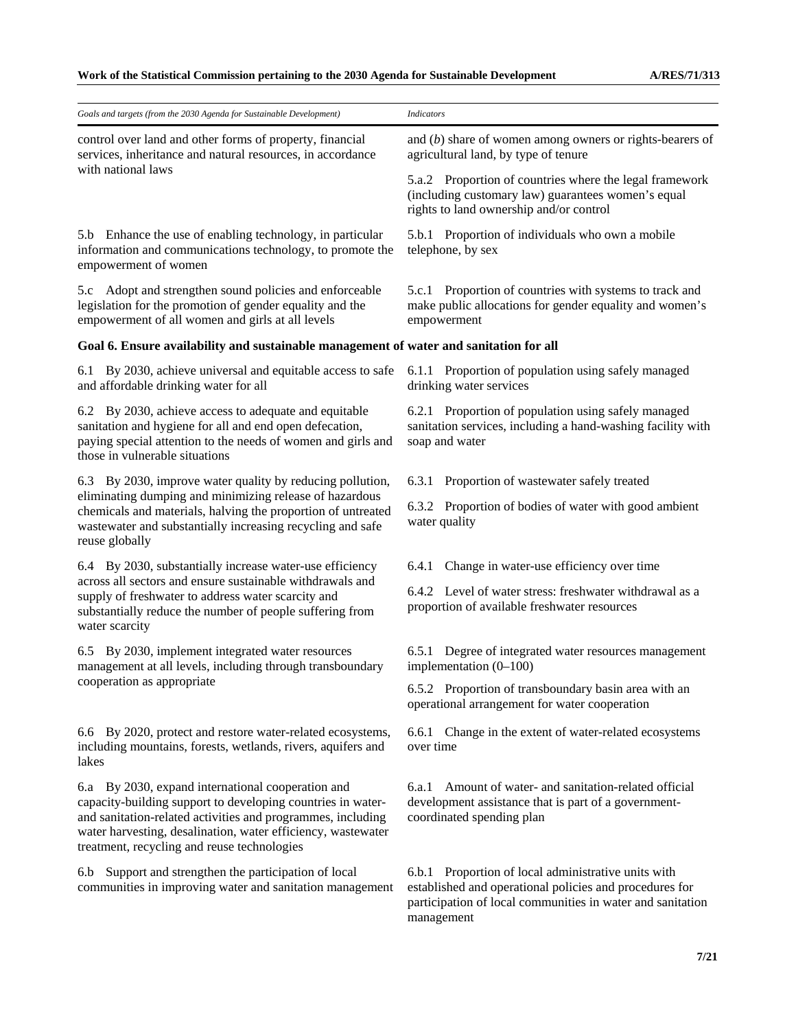| Goals and targets (from the 2030 Agenda for Sustainable Development)                                                                                                                                                                                                                           | <b>Indicators</b>                                                                                                                                                                          |
|------------------------------------------------------------------------------------------------------------------------------------------------------------------------------------------------------------------------------------------------------------------------------------------------|--------------------------------------------------------------------------------------------------------------------------------------------------------------------------------------------|
| control over land and other forms of property, financial<br>services, inheritance and natural resources, in accordance                                                                                                                                                                         | and $(b)$ share of women among owners or rights-bearers of<br>agricultural land, by type of tenure                                                                                         |
| with national laws                                                                                                                                                                                                                                                                             | 5.a.2 Proportion of countries where the legal framework<br>(including customary law) guarantees women's equal<br>rights to land ownership and/or control                                   |
| 5.b Enhance the use of enabling technology, in particular<br>information and communications technology, to promote the<br>empowerment of women                                                                                                                                                 | 5.b.1 Proportion of individuals who own a mobile<br>telephone, by sex                                                                                                                      |
| 5.c Adopt and strengthen sound policies and enforceable<br>legislation for the promotion of gender equality and the<br>empowerment of all women and girls at all levels                                                                                                                        | 5.c.1 Proportion of countries with systems to track and<br>make public allocations for gender equality and women's<br>empowerment                                                          |
| Goal 6. Ensure availability and sustainable management of water and sanitation for all                                                                                                                                                                                                         |                                                                                                                                                                                            |
| By 2030, achieve universal and equitable access to safe<br>6.1<br>and affordable drinking water for all                                                                                                                                                                                        | 6.1.1 Proportion of population using safely managed<br>drinking water services                                                                                                             |
| 6.2 By 2030, achieve access to adequate and equitable<br>sanitation and hygiene for all and end open defecation,<br>paying special attention to the needs of women and girls and<br>those in vulnerable situations                                                                             | 6.2.1 Proportion of population using safely managed<br>sanitation services, including a hand-washing facility with<br>soap and water                                                       |
| 6.3 By 2030, improve water quality by reducing pollution,                                                                                                                                                                                                                                      | Proportion of wastewater safely treated<br>6.3.1                                                                                                                                           |
| eliminating dumping and minimizing release of hazardous<br>chemicals and materials, halving the proportion of untreated<br>wastewater and substantially increasing recycling and safe<br>reuse globally                                                                                        | 6.3.2 Proportion of bodies of water with good ambient<br>water quality                                                                                                                     |
| 6.4 By 2030, substantially increase water-use efficiency                                                                                                                                                                                                                                       | Change in water-use efficiency over time<br>6.4.1                                                                                                                                          |
| across all sectors and ensure sustainable withdrawals and<br>supply of freshwater to address water scarcity and<br>substantially reduce the number of people suffering from<br>water scarcity                                                                                                  | 6.4.2 Level of water stress: freshwater withdrawal as a<br>proportion of available freshwater resources                                                                                    |
| 6.5 By 2030, implement integrated water resources<br>management at all levels, including through transboundary<br>cooperation as appropriate                                                                                                                                                   | 6.5.1 Degree of integrated water resources management<br>implementation $(0-100)$                                                                                                          |
|                                                                                                                                                                                                                                                                                                | 6.5.2 Proportion of transboundary basin area with an<br>operational arrangement for water cooperation                                                                                      |
| 6.6 By 2020, protect and restore water-related ecosystems,<br>including mountains, forests, wetlands, rivers, aquifers and<br>lakes                                                                                                                                                            | 6.6.1 Change in the extent of water-related ecosystems<br>over time                                                                                                                        |
| 6.a By 2030, expand international cooperation and<br>capacity-building support to developing countries in water-<br>and sanitation-related activities and programmes, including<br>water harvesting, desalination, water efficiency, wastewater<br>treatment, recycling and reuse technologies | Amount of water- and sanitation-related official<br>6.a.1<br>development assistance that is part of a government-<br>coordinated spending plan                                             |
| 6.b Support and strengthen the participation of local<br>communities in improving water and sanitation management                                                                                                                                                                              | 6.b.1 Proportion of local administrative units with<br>established and operational policies and procedures for<br>participation of local communities in water and sanitation<br>management |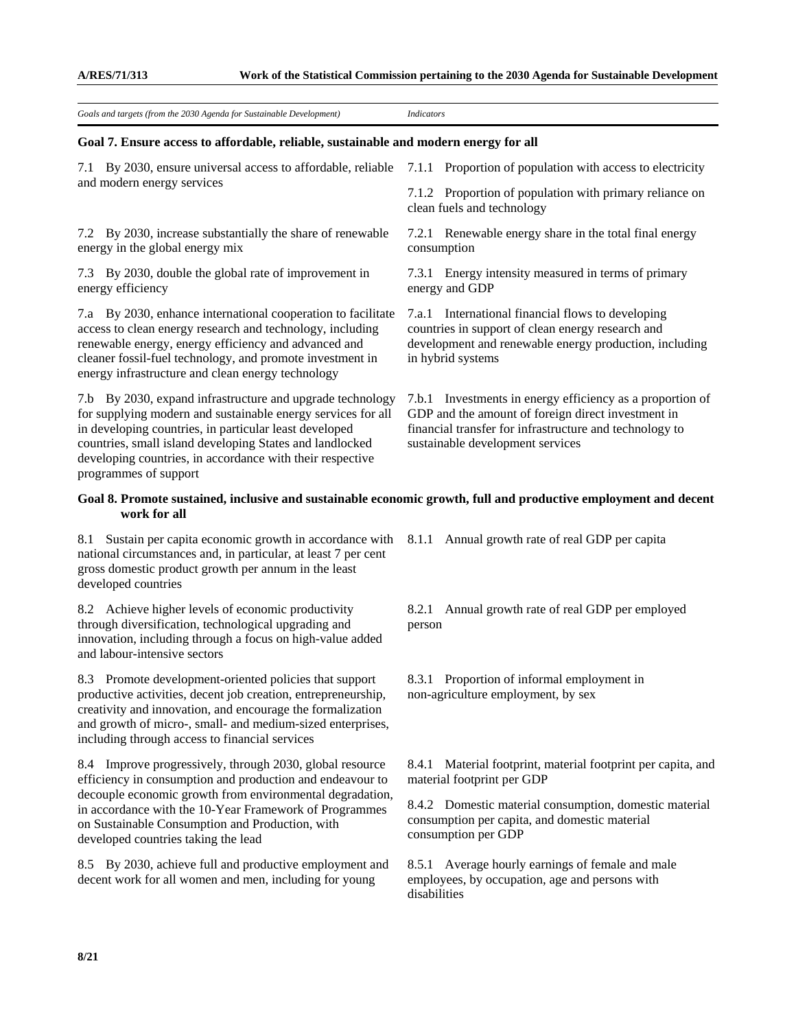| Goals and targets (from the 2030 Agenda for Sustainable Development)                                                                                                                                                                                                                                                                  | <b>Indicators</b>                                                                                                                                                                                              |
|---------------------------------------------------------------------------------------------------------------------------------------------------------------------------------------------------------------------------------------------------------------------------------------------------------------------------------------|----------------------------------------------------------------------------------------------------------------------------------------------------------------------------------------------------------------|
| Goal 7. Ensure access to affordable, reliable, sustainable and modern energy for all                                                                                                                                                                                                                                                  |                                                                                                                                                                                                                |
| By 2030, ensure universal access to affordable, reliable<br>7.1<br>and modern energy services                                                                                                                                                                                                                                         | 7.1.1 Proportion of population with access to electricity                                                                                                                                                      |
|                                                                                                                                                                                                                                                                                                                                       | 7.1.2 Proportion of population with primary reliance on<br>clean fuels and technology                                                                                                                          |
| By 2030, increase substantially the share of renewable<br>7.2<br>energy in the global energy mix                                                                                                                                                                                                                                      | 7.2.1 Renewable energy share in the total final energy<br>consumption                                                                                                                                          |
| By 2030, double the global rate of improvement in<br>7.3<br>energy efficiency                                                                                                                                                                                                                                                         | 7.3.1 Energy intensity measured in terms of primary<br>energy and GDP                                                                                                                                          |
| 7.a By 2030, enhance international cooperation to facilitate<br>access to clean energy research and technology, including<br>renewable energy, energy efficiency and advanced and<br>cleaner fossil-fuel technology, and promote investment in<br>energy infrastructure and clean energy technology                                   | 7.a.1 International financial flows to developing<br>countries in support of clean energy research and<br>development and renewable energy production, including<br>in hybrid systems                          |
| 7.b By 2030, expand infrastructure and upgrade technology<br>for supplying modern and sustainable energy services for all<br>in developing countries, in particular least developed<br>countries, small island developing States and landlocked<br>developing countries, in accordance with their respective<br>programmes of support | 7.b.1 Investments in energy efficiency as a proportion of<br>GDP and the amount of foreign direct investment in<br>financial transfer for infrastructure and technology to<br>sustainable development services |
| Goal 8. Promote sustained, inclusive and sustainable economic growth, full and productive employment and decent<br>work for all<br>$\sim$ $\sim$ $\sim$                                                                                                                                                                               | $\mathbf{a}$ and $\mathbf{a}$<br>$\sim$                                                                                                                                                                        |

8.1 Sustain per capita economic growth in accordance with 8.1.1 Annual growth rate of real GDP per capita national circumstances and, in particular, at least 7 per cent gross domestic product growth per annum in the least developed countries

8.2 Achieve higher levels of economic productivity through diversification, technological upgrading and innovation, including through a focus on high-value added and labour-intensive sectors

8.3 Promote development-oriented policies that support productive activities, decent job creation, entrepreneurship, creativity and innovation, and encourage the formalization and growth of micro-, small- and medium-sized enterprises, including through access to financial services

8.4 Improve progressively, through 2030, global resource efficiency in consumption and production and endeavour to decouple economic growth from environmental degradation, in accordance with the 10-Year Framework of Programmes on Sustainable Consumption and Production, with developed countries taking the lead

8.5 By 2030, achieve full and productive employment and decent work for all women and men, including for young

8.2.1 Annual growth rate of real GDP per employed person

8.3.1 Proportion of informal employment in non-agriculture employment, by sex

8.4.1 Material footprint, material footprint per capita, and material footprint per GDP

8.4.2 Domestic material consumption, domestic material consumption per capita, and domestic material consumption per GDP

8.5.1 Average hourly earnings of female and male employees, by occupation, age and persons with disabilities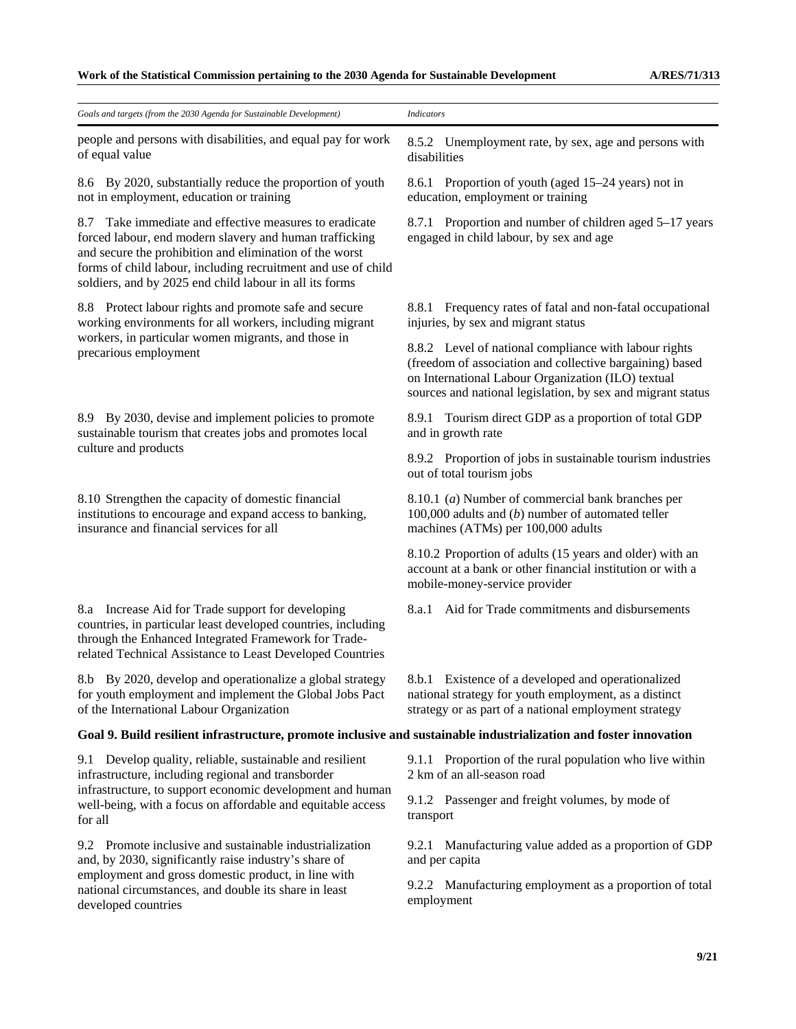| Goals and targets (from the 2030 Agenda for Sustainable Development)                                                                                                                                                                                                                                        | <b>Indicators</b>                                                                                                                                                                                                                      |
|-------------------------------------------------------------------------------------------------------------------------------------------------------------------------------------------------------------------------------------------------------------------------------------------------------------|----------------------------------------------------------------------------------------------------------------------------------------------------------------------------------------------------------------------------------------|
| people and persons with disabilities, and equal pay for work<br>of equal value                                                                                                                                                                                                                              | 8.5.2 Unemployment rate, by sex, age and persons with<br>disabilities                                                                                                                                                                  |
| 8.6 By 2020, substantially reduce the proportion of youth<br>not in employment, education or training                                                                                                                                                                                                       | Proportion of youth (aged 15–24 years) not in<br>8.6.1<br>education, employment or training                                                                                                                                            |
| Take immediate and effective measures to eradicate<br>8.7<br>forced labour, end modern slavery and human trafficking<br>and secure the prohibition and elimination of the worst<br>forms of child labour, including recruitment and use of child<br>soldiers, and by 2025 end child labour in all its forms | 8.7.1 Proportion and number of children aged 5–17 years<br>engaged in child labour, by sex and age                                                                                                                                     |
| 8.8 Protect labour rights and promote safe and secure<br>working environments for all workers, including migrant                                                                                                                                                                                            | 8.8.1 Frequency rates of fatal and non-fatal occupational<br>injuries, by sex and migrant status                                                                                                                                       |
| workers, in particular women migrants, and those in<br>precarious employment                                                                                                                                                                                                                                | 8.8.2 Level of national compliance with labour rights<br>(freedom of association and collective bargaining) based<br>on International Labour Organization (ILO) textual<br>sources and national legislation, by sex and migrant status |
| 8.9 By 2030, devise and implement policies to promote<br>sustainable tourism that creates jobs and promotes local                                                                                                                                                                                           | 8.9.1 Tourism direct GDP as a proportion of total GDP<br>and in growth rate                                                                                                                                                            |
| culture and products                                                                                                                                                                                                                                                                                        | 8.9.2 Proportion of jobs in sustainable tourism industries<br>out of total tourism jobs                                                                                                                                                |
| 8.10 Strengthen the capacity of domestic financial<br>institutions to encourage and expand access to banking,<br>insurance and financial services for all                                                                                                                                                   | 8.10.1 (a) Number of commercial bank branches per<br>100,000 adults and $(b)$ number of automated teller<br>machines (ATMs) per 100,000 adults                                                                                         |
|                                                                                                                                                                                                                                                                                                             | 8.10.2 Proportion of adults (15 years and older) with an<br>account at a bank or other financial institution or with a<br>mobile-money-service provider                                                                                |
| 8.a Increase Aid for Trade support for developing<br>countries, in particular least developed countries, including<br>through the Enhanced Integrated Framework for Trade-<br>related Technical Assistance to Least Developed Countries                                                                     | Aid for Trade commitments and disbursements<br>8.a.1                                                                                                                                                                                   |
| 8.b By 2020, develop and operationalize a global strategy<br>for youth employment and implement the Global Jobs Pact<br>of the International Labour Organization                                                                                                                                            | 8.b.1 Existence of a developed and operationalized<br>national strategy for youth employment, as a distinct<br>strategy or as part of a national employment strategy                                                                   |
| Goal 9. Build resilient infrastructure, promote inclusive and sustainable industrialization and foster innovation                                                                                                                                                                                           |                                                                                                                                                                                                                                        |
| 9.1 Develop quality, reliable, sustainable and resilient<br>infrastructure, including regional and transborder<br>infrastructure, to support economic development and human<br>well-being, with a focus on affordable and equitable access<br>for all                                                       | 9.1.1 Proportion of the rural population who live within<br>2 km of an all-season road                                                                                                                                                 |
|                                                                                                                                                                                                                                                                                                             | 9.1.2 Passenger and freight volumes, by mode of<br>transport                                                                                                                                                                           |
| Promote inclusive and sustainable industrialization<br>9.2<br>and, by 2030, significantly raise industry's share of<br>employment and gross domestic product, in line with<br>national circumstances, and double its share in least<br>developed countries                                                  | 9.2.1 Manufacturing value added as a proportion of GDP<br>and per capita                                                                                                                                                               |
|                                                                                                                                                                                                                                                                                                             | 9.2.2 Manufacturing employment as a proportion of total<br>employment                                                                                                                                                                  |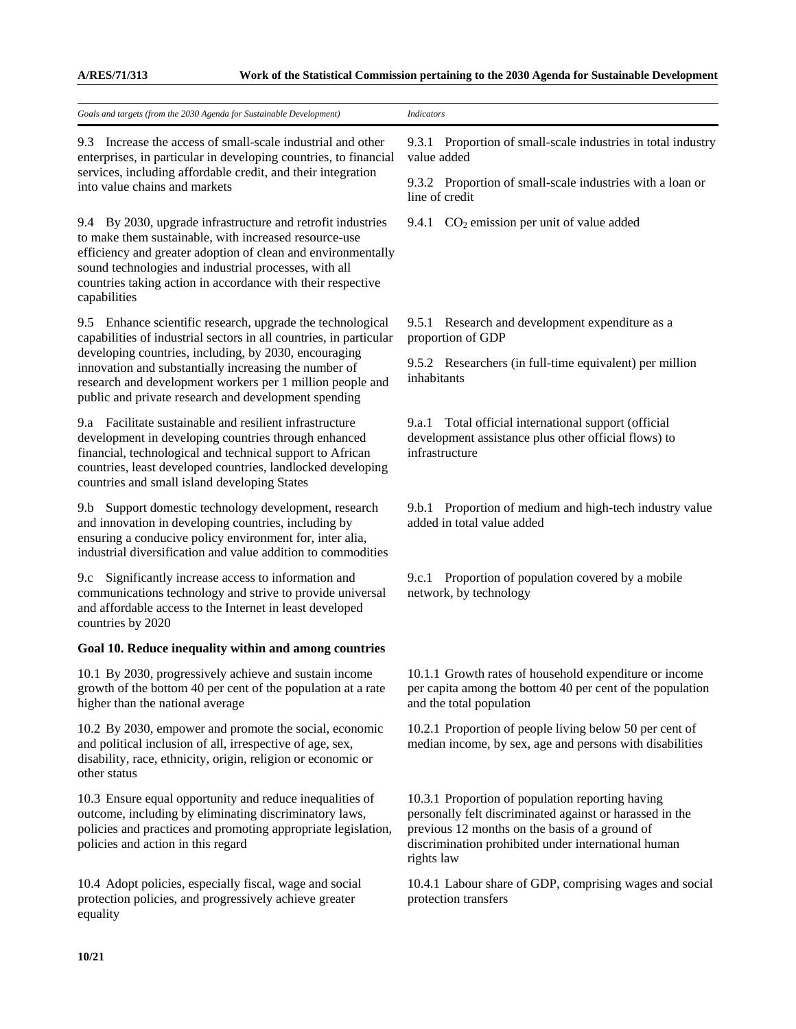| Goals and targets (from the 2030 Agenda for Sustainable Development)                                                                                                                                                                                                                                                                                                       | <b>Indicators</b>                                                                                                                                                                                                                   |
|----------------------------------------------------------------------------------------------------------------------------------------------------------------------------------------------------------------------------------------------------------------------------------------------------------------------------------------------------------------------------|-------------------------------------------------------------------------------------------------------------------------------------------------------------------------------------------------------------------------------------|
| 9.3 Increase the access of small-scale industrial and other<br>enterprises, in particular in developing countries, to financial<br>services, including affordable credit, and their integration<br>into value chains and markets                                                                                                                                           | 9.3.1 Proportion of small-scale industries in total industry<br>value added                                                                                                                                                         |
|                                                                                                                                                                                                                                                                                                                                                                            | 9.3.2 Proportion of small-scale industries with a loan or<br>line of credit                                                                                                                                                         |
| 9.4 By 2030, upgrade infrastructure and retrofit industries<br>to make them sustainable, with increased resource-use<br>efficiency and greater adoption of clean and environmentally<br>sound technologies and industrial processes, with all<br>countries taking action in accordance with their respective<br>capabilities                                               | 9.4.1 $CO2$ emission per unit of value added                                                                                                                                                                                        |
| Enhance scientific research, upgrade the technological<br>9.5<br>capabilities of industrial sectors in all countries, in particular<br>developing countries, including, by 2030, encouraging<br>innovation and substantially increasing the number of<br>research and development workers per 1 million people and<br>public and private research and development spending | 9.5.1 Research and development expenditure as a<br>proportion of GDP                                                                                                                                                                |
|                                                                                                                                                                                                                                                                                                                                                                            | 9.5.2 Researchers (in full-time equivalent) per million<br>inhabitants                                                                                                                                                              |
| 9.a Facilitate sustainable and resilient infrastructure<br>development in developing countries through enhanced<br>financial, technological and technical support to African<br>countries, least developed countries, landlocked developing<br>countries and small island developing States                                                                                | 9.a.1 Total official international support (official<br>development assistance plus other official flows) to<br>infrastructure                                                                                                      |
| Support domestic technology development, research<br>9.b<br>and innovation in developing countries, including by<br>ensuring a conducive policy environment for, inter alia,<br>industrial diversification and value addition to commodities                                                                                                                               | 9.b.1 Proportion of medium and high-tech industry value<br>added in total value added                                                                                                                                               |
| Significantly increase access to information and<br>9.c<br>communications technology and strive to provide universal<br>and affordable access to the Internet in least developed<br>countries by 2020                                                                                                                                                                      | 9.c.1 Proportion of population covered by a mobile<br>network, by technology                                                                                                                                                        |
| Goal 10. Reduce inequality within and among countries                                                                                                                                                                                                                                                                                                                      |                                                                                                                                                                                                                                     |
| 10.1 By 2030, progressively achieve and sustain income<br>growth of the bottom 40 per cent of the population at a rate<br>higher than the national average                                                                                                                                                                                                                 | 10.1.1 Growth rates of household expenditure or income<br>per capita among the bottom 40 per cent of the population<br>and the total population                                                                                     |
| 10.2 By 2030, empower and promote the social, economic<br>and political inclusion of all, irrespective of age, sex,<br>disability, race, ethnicity, origin, religion or economic or<br>other status                                                                                                                                                                        | 10.2.1 Proportion of people living below 50 per cent of<br>median income, by sex, age and persons with disabilities                                                                                                                 |
| 10.3 Ensure equal opportunity and reduce inequalities of<br>outcome, including by eliminating discriminatory laws,<br>policies and practices and promoting appropriate legislation,<br>policies and action in this regard                                                                                                                                                  | 10.3.1 Proportion of population reporting having<br>personally felt discriminated against or harassed in the<br>previous 12 months on the basis of a ground of<br>discrimination prohibited under international human<br>rights law |
| 10.4 Adopt policies, especially fiscal, wage and social<br>protection policies, and progressively achieve greater<br>equality                                                                                                                                                                                                                                              | 10.4.1 Labour share of GDP, comprising wages and social<br>protection transfers                                                                                                                                                     |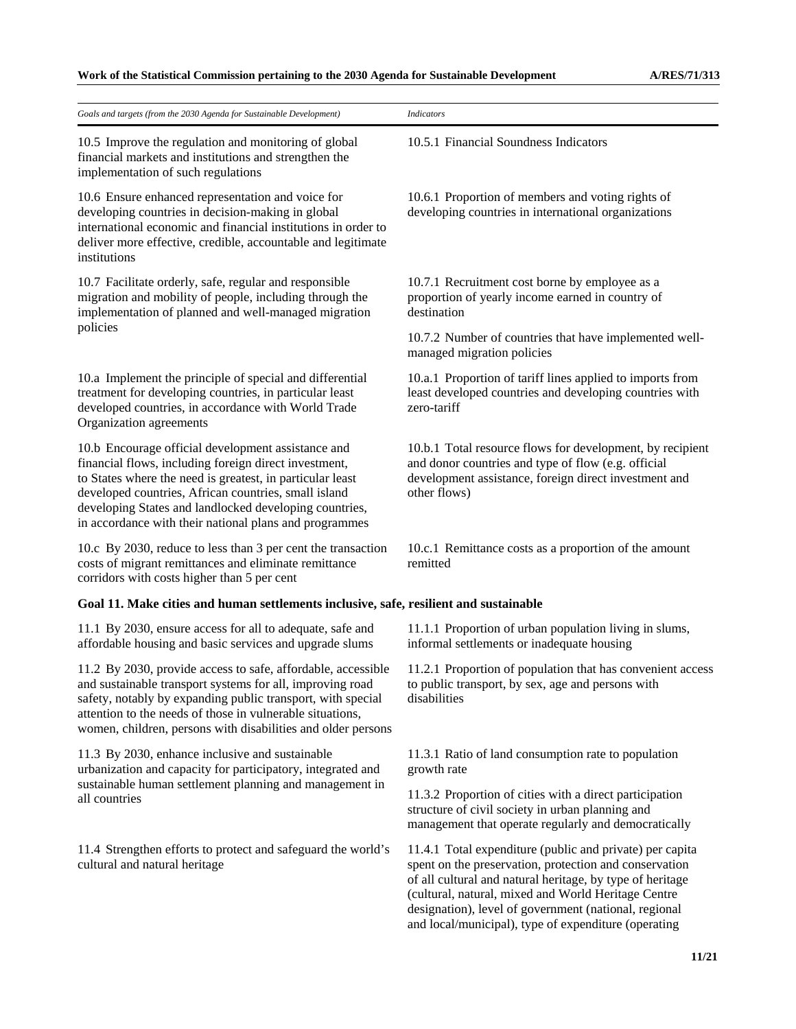| Goals and targets (from the 2030 Agenda for Sustainable Development)                                                                                                                                                                                                                                                                                 | <b>Indicators</b>                                                                                                                                                                                                                                                                                                                                       |
|------------------------------------------------------------------------------------------------------------------------------------------------------------------------------------------------------------------------------------------------------------------------------------------------------------------------------------------------------|---------------------------------------------------------------------------------------------------------------------------------------------------------------------------------------------------------------------------------------------------------------------------------------------------------------------------------------------------------|
| 10.5 Improve the regulation and monitoring of global<br>financial markets and institutions and strengthen the<br>implementation of such regulations                                                                                                                                                                                                  | 10.5.1 Financial Soundness Indicators                                                                                                                                                                                                                                                                                                                   |
| 10.6 Ensure enhanced representation and voice for<br>developing countries in decision-making in global<br>international economic and financial institutions in order to<br>deliver more effective, credible, accountable and legitimate<br>institutions                                                                                              | 10.6.1 Proportion of members and voting rights of<br>developing countries in international organizations                                                                                                                                                                                                                                                |
| 10.7 Facilitate orderly, safe, regular and responsible<br>migration and mobility of people, including through the<br>implementation of planned and well-managed migration                                                                                                                                                                            | 10.7.1 Recruitment cost borne by employee as a<br>proportion of yearly income earned in country of<br>destination                                                                                                                                                                                                                                       |
| policies                                                                                                                                                                                                                                                                                                                                             | 10.7.2 Number of countries that have implemented well-<br>managed migration policies                                                                                                                                                                                                                                                                    |
| 10.a Implement the principle of special and differential<br>treatment for developing countries, in particular least<br>developed countries, in accordance with World Trade<br>Organization agreements                                                                                                                                                | 10.a.1 Proportion of tariff lines applied to imports from<br>least developed countries and developing countries with<br>zero-tariff                                                                                                                                                                                                                     |
| 10.b Encourage official development assistance and<br>financial flows, including foreign direct investment,<br>to States where the need is greatest, in particular least<br>developed countries, African countries, small island<br>developing States and landlocked developing countries,<br>in accordance with their national plans and programmes | 10.b.1 Total resource flows for development, by recipient<br>and donor countries and type of flow (e.g. official<br>development assistance, foreign direct investment and<br>other flows)                                                                                                                                                               |
| 10.c By 2030, reduce to less than 3 per cent the transaction<br>costs of migrant remittances and eliminate remittance<br>corridors with costs higher than 5 per cent                                                                                                                                                                                 | 10.c.1 Remittance costs as a proportion of the amount<br>remitted                                                                                                                                                                                                                                                                                       |
| Goal 11. Make cities and human settlements inclusive, safe, resilient and sustainable                                                                                                                                                                                                                                                                |                                                                                                                                                                                                                                                                                                                                                         |
| 11.1 By 2030, ensure access for all to adequate, safe and<br>affordable housing and basic services and upgrade slums                                                                                                                                                                                                                                 | 11.1.1 Proportion of urban population living in slums,<br>informal settlements or inadequate housing                                                                                                                                                                                                                                                    |
| 11.2 By 2030, provide access to safe, affordable, accessible<br>and sustainable transport systems for all, improving road<br>safety, notably by expanding public transport, with special<br>attention to the needs of those in vulnerable situations,<br>women, children, persons with disabilities and older persons                                | 11.2.1 Proportion of population that has convenient access<br>to public transport, by sex, age and persons with<br>disabilities                                                                                                                                                                                                                         |
| 11.3 By 2030, enhance inclusive and sustainable<br>urbanization and capacity for participatory, integrated and<br>sustainable human settlement planning and management in<br>all countries                                                                                                                                                           | 11.3.1 Ratio of land consumption rate to population<br>growth rate                                                                                                                                                                                                                                                                                      |
|                                                                                                                                                                                                                                                                                                                                                      | 11.3.2 Proportion of cities with a direct participation<br>structure of civil society in urban planning and<br>management that operate regularly and democratically                                                                                                                                                                                     |
| 11.4 Strengthen efforts to protect and safeguard the world's<br>cultural and natural heritage                                                                                                                                                                                                                                                        | 11.4.1 Total expenditure (public and private) per capita<br>spent on the preservation, protection and conservation<br>of all cultural and natural heritage, by type of heritage<br>(cultural, natural, mixed and World Heritage Centre<br>designation), level of government (national, regional<br>and local/municipal), type of expenditure (operating |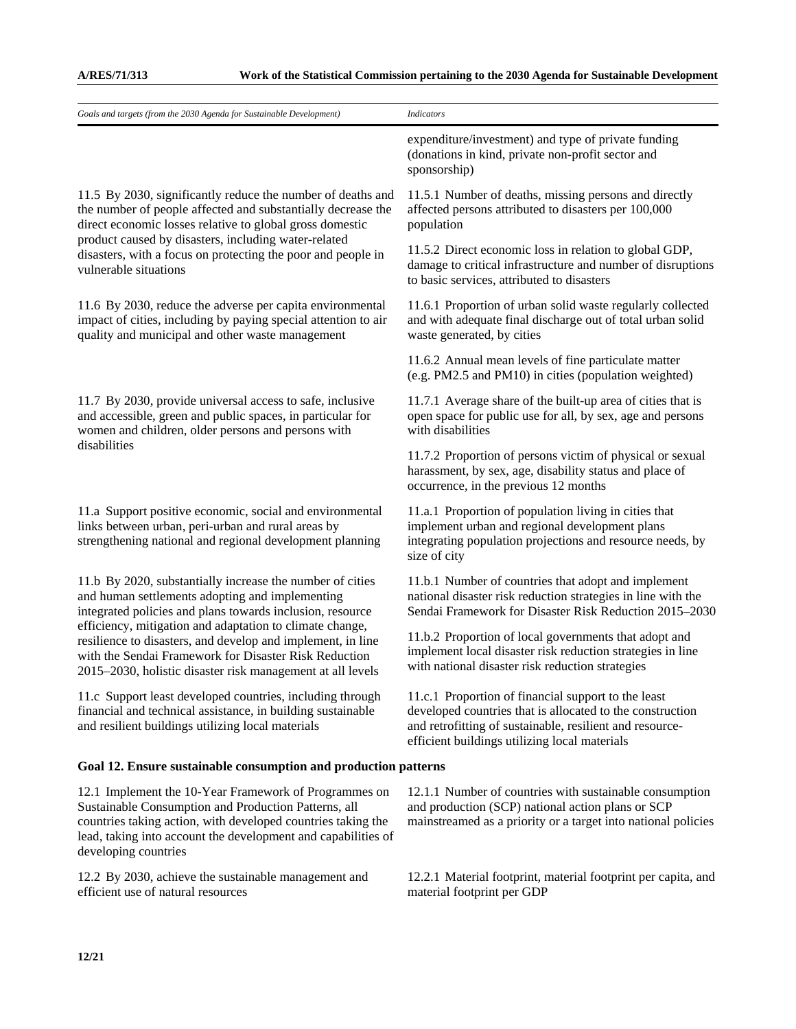| Goals and targets (from the 2030 Agenda for Sustainable Development)                                                                                                                                                                                                                                                                                                                                                        | <b>Indicators</b>                                                                                                                                                                                                             |
|-----------------------------------------------------------------------------------------------------------------------------------------------------------------------------------------------------------------------------------------------------------------------------------------------------------------------------------------------------------------------------------------------------------------------------|-------------------------------------------------------------------------------------------------------------------------------------------------------------------------------------------------------------------------------|
|                                                                                                                                                                                                                                                                                                                                                                                                                             | expenditure/investment) and type of private funding<br>(donations in kind, private non-profit sector and<br>sponsorship)                                                                                                      |
| 11.5 By 2030, significantly reduce the number of deaths and<br>the number of people affected and substantially decrease the<br>direct economic losses relative to global gross domestic<br>product caused by disasters, including water-related<br>disasters, with a focus on protecting the poor and people in<br>vulnerable situations                                                                                    | 11.5.1 Number of deaths, missing persons and directly<br>affected persons attributed to disasters per 100,000<br>population                                                                                                   |
|                                                                                                                                                                                                                                                                                                                                                                                                                             | 11.5.2 Direct economic loss in relation to global GDP,<br>damage to critical infrastructure and number of disruptions<br>to basic services, attributed to disasters                                                           |
| 11.6 By 2030, reduce the adverse per capita environmental<br>impact of cities, including by paying special attention to air<br>quality and municipal and other waste management                                                                                                                                                                                                                                             | 11.6.1 Proportion of urban solid waste regularly collected<br>and with adequate final discharge out of total urban solid<br>waste generated, by cities                                                                        |
|                                                                                                                                                                                                                                                                                                                                                                                                                             | 11.6.2 Annual mean levels of fine particulate matter<br>(e.g. PM2.5 and PM10) in cities (population weighted)                                                                                                                 |
| 11.7 By 2030, provide universal access to safe, inclusive<br>and accessible, green and public spaces, in particular for<br>women and children, older persons and persons with                                                                                                                                                                                                                                               | 11.7.1 Average share of the built-up area of cities that is<br>open space for public use for all, by sex, age and persons<br>with disabilities                                                                                |
| disabilities                                                                                                                                                                                                                                                                                                                                                                                                                | 11.7.2 Proportion of persons victim of physical or sexual<br>harassment, by sex, age, disability status and place of<br>occurrence, in the previous 12 months                                                                 |
| 11.a Support positive economic, social and environmental<br>links between urban, peri-urban and rural areas by<br>strengthening national and regional development planning                                                                                                                                                                                                                                                  | 11.a.1 Proportion of population living in cities that<br>implement urban and regional development plans<br>integrating population projections and resource needs, by<br>size of city                                          |
| 11.b By 2020, substantially increase the number of cities<br>and human settlements adopting and implementing<br>integrated policies and plans towards inclusion, resource<br>efficiency, mitigation and adaptation to climate change,<br>resilience to disasters, and develop and implement, in line<br>with the Sendai Framework for Disaster Risk Reduction<br>2015–2030, holistic disaster risk management at all levels | 11.b.1 Number of countries that adopt and implement<br>national disaster risk reduction strategies in line with the<br>Sendai Framework for Disaster Risk Reduction 2015-2030                                                 |
|                                                                                                                                                                                                                                                                                                                                                                                                                             | 11.b.2 Proportion of local governments that adopt and<br>implement local disaster risk reduction strategies in line<br>with national disaster risk reduction strategies                                                       |
| 11.c Support least developed countries, including through<br>financial and technical assistance, in building sustainable<br>and resilient buildings utilizing local materials                                                                                                                                                                                                                                               | 11.c.1 Proportion of financial support to the least<br>developed countries that is allocated to the construction<br>and retrofitting of sustainable, resilient and resource-<br>efficient buildings utilizing local materials |
| Goal 12. Ensure sustainable consumption and production patterns                                                                                                                                                                                                                                                                                                                                                             |                                                                                                                                                                                                                               |
| 12.1 Implement the 10-Year Framework of Programmes on<br>Sustainable Consumption and Production Patterns, all<br>countries taking action, with developed countries taking the<br>lead, taking into account the development and capabilities of<br>developing countries                                                                                                                                                      | 12.1.1 Number of countries with sustainable consumption<br>and production (SCP) national action plans or SCP<br>mainstreamed as a priority or a target into national policies                                                 |
| 12.2 By 2030, achieve the sustainable management and<br>efficient use of natural resources                                                                                                                                                                                                                                                                                                                                  | 12.2.1 Material footprint, material footprint per capita, and<br>material footprint per GDP                                                                                                                                   |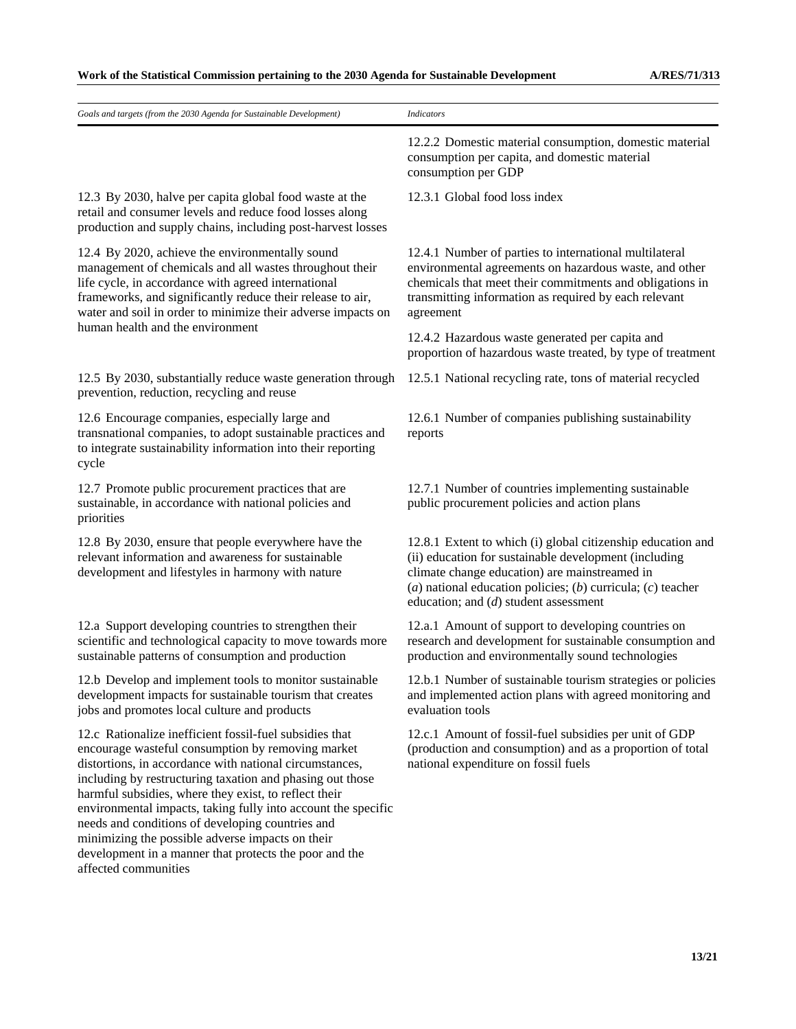| Goals and targets (from the 2030 Agenda for Sustainable Development)                                                                                                                                                                                                                                                                                                                                                                                                                                                                                     | <b>Indicators</b>                                                                                                                                                                                                                                                               |
|----------------------------------------------------------------------------------------------------------------------------------------------------------------------------------------------------------------------------------------------------------------------------------------------------------------------------------------------------------------------------------------------------------------------------------------------------------------------------------------------------------------------------------------------------------|---------------------------------------------------------------------------------------------------------------------------------------------------------------------------------------------------------------------------------------------------------------------------------|
|                                                                                                                                                                                                                                                                                                                                                                                                                                                                                                                                                          | 12.2.2 Domestic material consumption, domestic material<br>consumption per capita, and domestic material<br>consumption per GDP                                                                                                                                                 |
| 12.3 By 2030, halve per capita global food waste at the<br>retail and consumer levels and reduce food losses along<br>production and supply chains, including post-harvest losses                                                                                                                                                                                                                                                                                                                                                                        | 12.3.1 Global food loss index                                                                                                                                                                                                                                                   |
| 12.4 By 2020, achieve the environmentally sound<br>management of chemicals and all wastes throughout their<br>life cycle, in accordance with agreed international<br>frameworks, and significantly reduce their release to air,<br>water and soil in order to minimize their adverse impacts on                                                                                                                                                                                                                                                          | 12.4.1 Number of parties to international multilateral<br>environmental agreements on hazardous waste, and other<br>chemicals that meet their commitments and obligations in<br>transmitting information as required by each relevant<br>agreement                              |
| human health and the environment                                                                                                                                                                                                                                                                                                                                                                                                                                                                                                                         | 12.4.2 Hazardous waste generated per capita and<br>proportion of hazardous waste treated, by type of treatment                                                                                                                                                                  |
| 12.5 By 2030, substantially reduce waste generation through<br>prevention, reduction, recycling and reuse                                                                                                                                                                                                                                                                                                                                                                                                                                                | 12.5.1 National recycling rate, tons of material recycled                                                                                                                                                                                                                       |
| 12.6 Encourage companies, especially large and<br>transnational companies, to adopt sustainable practices and<br>to integrate sustainability information into their reporting<br>cycle                                                                                                                                                                                                                                                                                                                                                                   | 12.6.1 Number of companies publishing sustainability<br>reports                                                                                                                                                                                                                 |
| 12.7 Promote public procurement practices that are<br>sustainable, in accordance with national policies and<br>priorities                                                                                                                                                                                                                                                                                                                                                                                                                                | 12.7.1 Number of countries implementing sustainable<br>public procurement policies and action plans                                                                                                                                                                             |
| 12.8 By 2030, ensure that people everywhere have the<br>relevant information and awareness for sustainable<br>development and lifestyles in harmony with nature                                                                                                                                                                                                                                                                                                                                                                                          | 12.8.1 Extent to which (i) global citizenship education and<br>(ii) education for sustainable development (including<br>climate change education) are mainstreamed in<br>(a) national education policies; (b) curricula; (c) teacher<br>education; and $(d)$ student assessment |
| 12.a Support developing countries to strengthen their<br>scientific and technological capacity to move towards more<br>sustainable patterns of consumption and production                                                                                                                                                                                                                                                                                                                                                                                | 12.a.1 Amount of support to developing countries on<br>research and development for sustainable consumption and<br>production and environmentally sound technologies                                                                                                            |
| 12.b Develop and implement tools to monitor sustainable<br>development impacts for sustainable tourism that creates<br>jobs and promotes local culture and products                                                                                                                                                                                                                                                                                                                                                                                      | 12.b.1 Number of sustainable tourism strategies or policies<br>and implemented action plans with agreed monitoring and<br>evaluation tools                                                                                                                                      |
| 12.c Rationalize inefficient fossil-fuel subsidies that<br>encourage wasteful consumption by removing market<br>distortions, in accordance with national circumstances,<br>including by restructuring taxation and phasing out those<br>harmful subsidies, where they exist, to reflect their<br>environmental impacts, taking fully into account the specific<br>needs and conditions of developing countries and<br>minimizing the possible adverse impacts on their<br>development in a manner that protects the poor and the<br>affected communities | 12.c.1 Amount of fossil-fuel subsidies per unit of GDP<br>(production and consumption) and as a proportion of total<br>national expenditure on fossil fuels                                                                                                                     |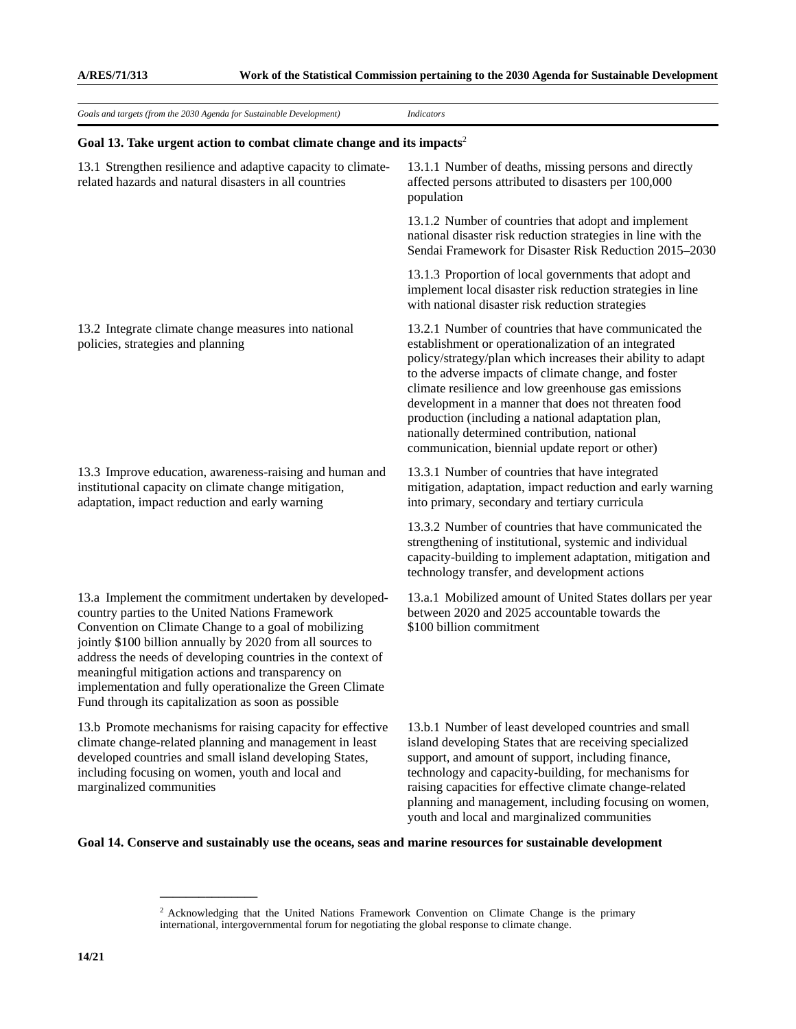| Goals and targets (from the 2030 Agenda for Sustainable Development)                                                                                                                                                                                                                                                                                                                                                                                                    | <b>Indicators</b>                                                                                                                                                                                                                                                                                                                                                                                                                                                                                          |
|-------------------------------------------------------------------------------------------------------------------------------------------------------------------------------------------------------------------------------------------------------------------------------------------------------------------------------------------------------------------------------------------------------------------------------------------------------------------------|------------------------------------------------------------------------------------------------------------------------------------------------------------------------------------------------------------------------------------------------------------------------------------------------------------------------------------------------------------------------------------------------------------------------------------------------------------------------------------------------------------|
| Goal 13. Take urgent action to combat climate change and its impacts <sup>2</sup>                                                                                                                                                                                                                                                                                                                                                                                       |                                                                                                                                                                                                                                                                                                                                                                                                                                                                                                            |
| 13.1 Strengthen resilience and adaptive capacity to climate-<br>related hazards and natural disasters in all countries                                                                                                                                                                                                                                                                                                                                                  | 13.1.1 Number of deaths, missing persons and directly<br>affected persons attributed to disasters per 100,000<br>population                                                                                                                                                                                                                                                                                                                                                                                |
|                                                                                                                                                                                                                                                                                                                                                                                                                                                                         | 13.1.2 Number of countries that adopt and implement<br>national disaster risk reduction strategies in line with the<br>Sendai Framework for Disaster Risk Reduction 2015-2030                                                                                                                                                                                                                                                                                                                              |
|                                                                                                                                                                                                                                                                                                                                                                                                                                                                         | 13.1.3 Proportion of local governments that adopt and<br>implement local disaster risk reduction strategies in line<br>with national disaster risk reduction strategies                                                                                                                                                                                                                                                                                                                                    |
| 13.2 Integrate climate change measures into national<br>policies, strategies and planning                                                                                                                                                                                                                                                                                                                                                                               | 13.2.1 Number of countries that have communicated the<br>establishment or operationalization of an integrated<br>policy/strategy/plan which increases their ability to adapt<br>to the adverse impacts of climate change, and foster<br>climate resilience and low greenhouse gas emissions<br>development in a manner that does not threaten food<br>production (including a national adaptation plan,<br>nationally determined contribution, national<br>communication, biennial update report or other) |
| 13.3 Improve education, awareness-raising and human and<br>institutional capacity on climate change mitigation,<br>adaptation, impact reduction and early warning                                                                                                                                                                                                                                                                                                       | 13.3.1 Number of countries that have integrated<br>mitigation, adaptation, impact reduction and early warning<br>into primary, secondary and tertiary curricula                                                                                                                                                                                                                                                                                                                                            |
|                                                                                                                                                                                                                                                                                                                                                                                                                                                                         | 13.3.2 Number of countries that have communicated the<br>strengthening of institutional, systemic and individual<br>capacity-building to implement adaptation, mitigation and<br>technology transfer, and development actions                                                                                                                                                                                                                                                                              |
| 13.a Implement the commitment undertaken by developed-<br>country parties to the United Nations Framework<br>Convention on Climate Change to a goal of mobilizing<br>jointly \$100 billion annually by 2020 from all sources to<br>address the needs of developing countries in the context of<br>meaningful mitigation actions and transparency on<br>implementation and fully operationalize the Green Climate<br>Fund through its capitalization as soon as possible | 13.a.1 Mobilized amount of United States dollars per year<br>between 2020 and 2025 accountable towards the<br>\$100 billion commitment                                                                                                                                                                                                                                                                                                                                                                     |
| 13.b Promote mechanisms for raising capacity for effective<br>climate change-related planning and management in least<br>developed countries and small island developing States,<br>including focusing on women, youth and local and<br>marginalized communities                                                                                                                                                                                                        | 13.b.1 Number of least developed countries and small<br>island developing States that are receiving specialized<br>support, and amount of support, including finance,<br>technology and capacity-building, for mechanisms for<br>raising capacities for effective climate change-related<br>planning and management, including focusing on women,<br>youth and local and marginalized communities                                                                                                          |

**Goal 14. Conserve and sustainably use the oceans, seas and marine resources for sustainable development** 

**\_\_\_\_\_\_\_\_\_\_\_\_\_\_\_** 

<sup>&</sup>lt;sup>2</sup> Acknowledging that the United Nations Framework Convention on Climate Change is the primary international, intergovernmental forum for negotiating the global response to climate change.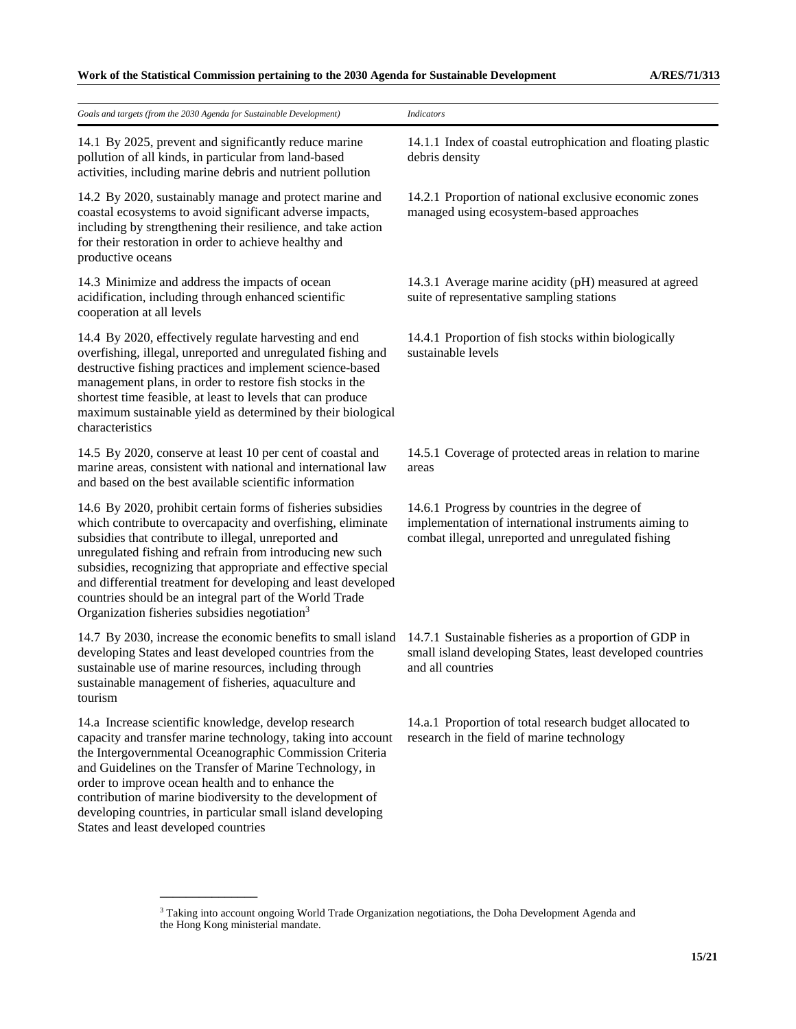| Goals and targets (from the 2030 Agenda for Sustainable Development)                                                                                                                                                                                                                                                                                                                                                                                                                                      | <b>Indicators</b>                                                                                                                                            |
|-----------------------------------------------------------------------------------------------------------------------------------------------------------------------------------------------------------------------------------------------------------------------------------------------------------------------------------------------------------------------------------------------------------------------------------------------------------------------------------------------------------|--------------------------------------------------------------------------------------------------------------------------------------------------------------|
| 14.1 By 2025, prevent and significantly reduce marine<br>pollution of all kinds, in particular from land-based<br>activities, including marine debris and nutrient pollution                                                                                                                                                                                                                                                                                                                              | 14.1.1 Index of coastal eutrophication and floating plastic<br>debris density                                                                                |
| 14.2 By 2020, sustainably manage and protect marine and<br>coastal ecosystems to avoid significant adverse impacts,<br>including by strengthening their resilience, and take action<br>for their restoration in order to achieve healthy and<br>productive oceans                                                                                                                                                                                                                                         | 14.2.1 Proportion of national exclusive economic zones<br>managed using ecosystem-based approaches                                                           |
| 14.3 Minimize and address the impacts of ocean<br>acidification, including through enhanced scientific<br>cooperation at all levels                                                                                                                                                                                                                                                                                                                                                                       | 14.3.1 Average marine acidity (pH) measured at agreed<br>suite of representative sampling stations                                                           |
| 14.4 By 2020, effectively regulate harvesting and end<br>overfishing, illegal, unreported and unregulated fishing and<br>destructive fishing practices and implement science-based<br>management plans, in order to restore fish stocks in the<br>shortest time feasible, at least to levels that can produce<br>maximum sustainable yield as determined by their biological<br>characteristics                                                                                                           | 14.4.1 Proportion of fish stocks within biologically<br>sustainable levels                                                                                   |
| 14.5 By 2020, conserve at least 10 per cent of coastal and<br>marine areas, consistent with national and international law<br>and based on the best available scientific information                                                                                                                                                                                                                                                                                                                      | 14.5.1 Coverage of protected areas in relation to marine<br>areas                                                                                            |
| 14.6 By 2020, prohibit certain forms of fisheries subsidies<br>which contribute to overcapacity and overfishing, eliminate<br>subsidies that contribute to illegal, unreported and<br>unregulated fishing and refrain from introducing new such<br>subsidies, recognizing that appropriate and effective special<br>and differential treatment for developing and least developed<br>countries should be an integral part of the World Trade<br>Organization fisheries subsidies negotiation <sup>3</sup> | 14.6.1 Progress by countries in the degree of<br>implementation of international instruments aiming to<br>combat illegal, unreported and unregulated fishing |
| 14.7 By 2030, increase the economic benefits to small island<br>developing States and least developed countries from the<br>sustainable use of marine resources, including through<br>sustainable management of fisheries, aquaculture and<br>tourism                                                                                                                                                                                                                                                     | 14.7.1 Sustainable fisheries as a proportion of GDP in<br>small island developing States, least developed countries<br>and all countries                     |
| 14.a Increase scientific knowledge, develop research<br>capacity and transfer marine technology, taking into account<br>the Intergovernmental Oceanographic Commission Criteria<br>and Guidelines on the Transfer of Marine Technology, in<br>order to improve ocean health and to enhance the<br>contribution of marine biodiversity to the development of<br>developing countries, in particular small island developing<br>States and least developed countries                                        | 14.a.1 Proportion of total research budget allocated to<br>research in the field of marine technology                                                        |
|                                                                                                                                                                                                                                                                                                                                                                                                                                                                                                           |                                                                                                                                                              |

<sup>&</sup>lt;sup>3</sup> Taking into account ongoing World Trade Organization negotiations, the Doha Development Agenda and the Hong Kong ministerial mandate.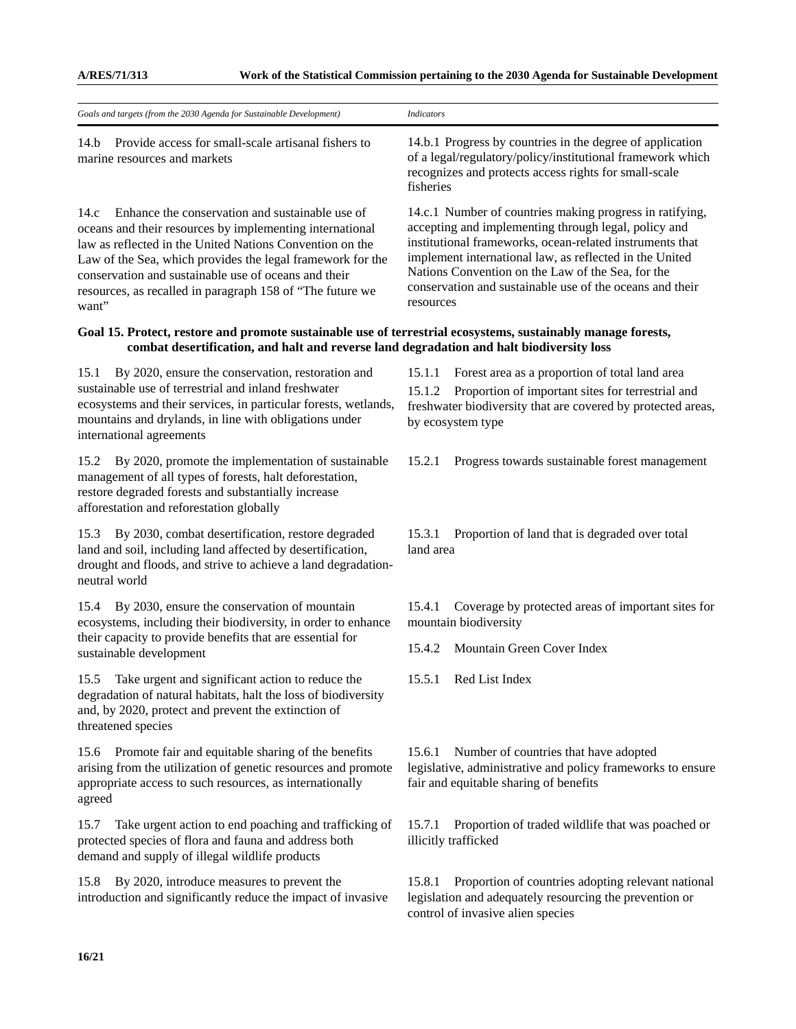| Goals and targets (from the 2030 Agenda for Sustainable Development)                                                                                                                                                                                                                                                                                                        | <b>Indicators</b>                                                                                                                                                                                                                                                                                                                                                     |
|-----------------------------------------------------------------------------------------------------------------------------------------------------------------------------------------------------------------------------------------------------------------------------------------------------------------------------------------------------------------------------|-----------------------------------------------------------------------------------------------------------------------------------------------------------------------------------------------------------------------------------------------------------------------------------------------------------------------------------------------------------------------|
| Provide access for small-scale artisanal fishers to<br>14.h<br>marine resources and markets                                                                                                                                                                                                                                                                                 | 14.b.1 Progress by countries in the degree of application<br>of a legal/regulatory/policy/institutional framework which<br>recognizes and protects access rights for small-scale<br>fisheries                                                                                                                                                                         |
| Enhance the conservation and sustainable use of<br>14.c<br>oceans and their resources by implementing international<br>law as reflected in the United Nations Convention on the<br>Law of the Sea, which provides the legal framework for the<br>conservation and sustainable use of oceans and their<br>resources, as recalled in paragraph 158 of "The future we<br>want" | 14.c.1 Number of countries making progress in ratifying,<br>accepting and implementing through legal, policy and<br>institutional frameworks, ocean-related instruments that<br>implement international law, as reflected in the United<br>Nations Convention on the Law of the Sea, for the<br>conservation and sustainable use of the oceans and their<br>resources |
| Goal 15. Protect, restore and promote sustainable use of terrestrial ecosystems, sustainably manage forests,<br>combat desertification, and halt and reverse land degradation and halt biodiversity loss                                                                                                                                                                    |                                                                                                                                                                                                                                                                                                                                                                       |
| By 2020, ensure the conservation, restoration and<br>15.1<br>sustainable use of terrestrial and inland freshwater<br>ecosystems and their services, in particular forests, wetlands,<br>mountains and drylands, in line with obligations under<br>international agreements                                                                                                  | 15.1.1<br>Forest area as a proportion of total land area<br>Proportion of important sites for terrestrial and<br>15.1.2<br>freshwater biodiversity that are covered by protected areas,<br>by ecosystem type                                                                                                                                                          |
| 15.2<br>By 2020, promote the implementation of sustainable<br>management of all types of forests, halt deforestation,<br>restore degraded forests and substantially increase<br>afforestation and reforestation globally                                                                                                                                                    | 15.2.1<br>Progress towards sustainable forest management                                                                                                                                                                                                                                                                                                              |
| 15.3<br>By 2030, combat desertification, restore degraded<br>land and soil, including land affected by desertification,<br>drought and floods, and strive to achieve a land degradation-<br>neutral world                                                                                                                                                                   | 15.3.1<br>Proportion of land that is degraded over total<br>land area                                                                                                                                                                                                                                                                                                 |
| By 2030, ensure the conservation of mountain<br>15.4<br>ecosystems, including their biodiversity, in order to enhance                                                                                                                                                                                                                                                       | Coverage by protected areas of important sites for<br>15.4.1<br>mountain biodiversity                                                                                                                                                                                                                                                                                 |
| their capacity to provide benefits that are essential for<br>sustainable development                                                                                                                                                                                                                                                                                        | Mountain Green Cover Index<br>15.4.2                                                                                                                                                                                                                                                                                                                                  |
| 15.5 Take urgent and significant action to reduce the<br>degradation of natural habitats, halt the loss of biodiversity<br>and, by 2020, protect and prevent the extinction of<br>threatened species                                                                                                                                                                        | 15.5.1 Red List Index                                                                                                                                                                                                                                                                                                                                                 |
| 15.6 Promote fair and equitable sharing of the benefits<br>arising from the utilization of genetic resources and promote<br>appropriate access to such resources, as internationally<br>agreed                                                                                                                                                                              | Number of countries that have adopted<br>15.6.1<br>legislative, administrative and policy frameworks to ensure<br>fair and equitable sharing of benefits                                                                                                                                                                                                              |
| Take urgent action to end poaching and trafficking of<br>15.7<br>protected species of flora and fauna and address both<br>demand and supply of illegal wildlife products                                                                                                                                                                                                    | Proportion of traded wildlife that was poached or<br>15.7.1<br>illicitly trafficked                                                                                                                                                                                                                                                                                   |
| By 2020, introduce measures to prevent the<br>15.8<br>introduction and significantly reduce the impact of invasive                                                                                                                                                                                                                                                          | Proportion of countries adopting relevant national<br>15.8.1<br>legislation and adequately resourcing the prevention or<br>control of invasive alien species                                                                                                                                                                                                          |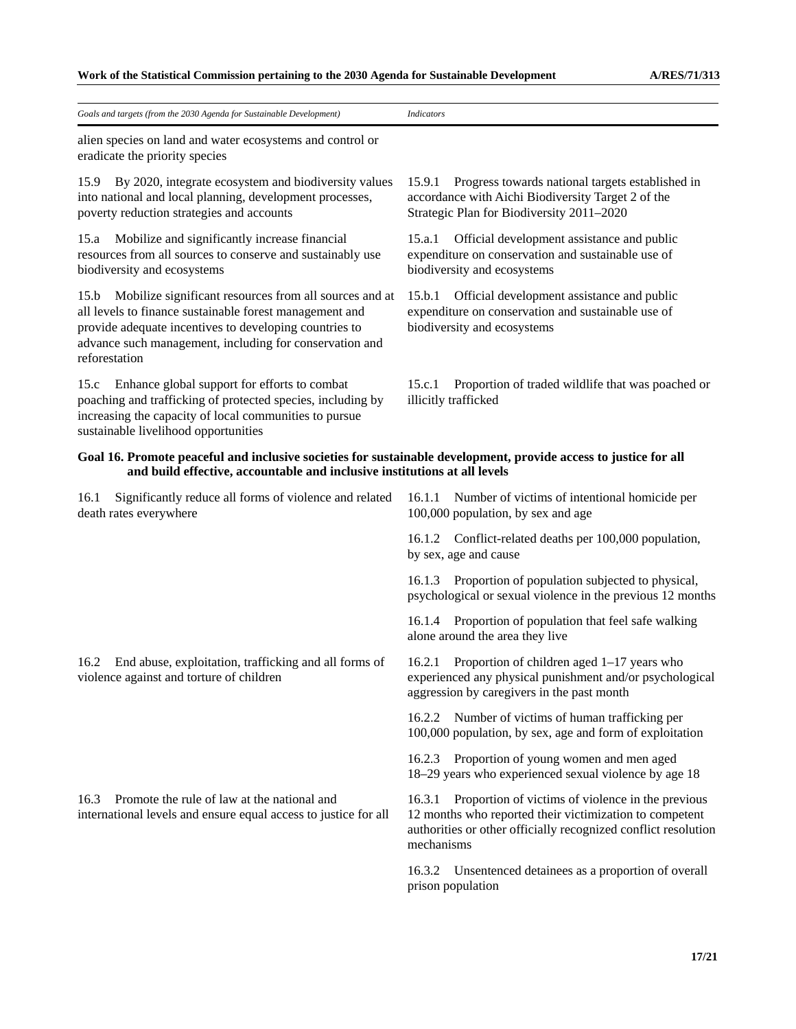| Goals and targets (from the 2030 Agenda for Sustainable Development)                                                                                                                                                                                            | <b>Indicators</b>                                                                                                                                                                                      |
|-----------------------------------------------------------------------------------------------------------------------------------------------------------------------------------------------------------------------------------------------------------------|--------------------------------------------------------------------------------------------------------------------------------------------------------------------------------------------------------|
| alien species on land and water ecosystems and control or<br>eradicate the priority species                                                                                                                                                                     |                                                                                                                                                                                                        |
| 15.9<br>By 2020, integrate ecosystem and biodiversity values<br>into national and local planning, development processes,<br>poverty reduction strategies and accounts                                                                                           | Progress towards national targets established in<br>15.9.1<br>accordance with Aichi Biodiversity Target 2 of the<br>Strategic Plan for Biodiversity 2011-2020                                          |
| Mobilize and significantly increase financial<br>15.a<br>resources from all sources to conserve and sustainably use<br>biodiversity and ecosystems                                                                                                              | Official development assistance and public<br>15.a.1<br>expenditure on conservation and sustainable use of<br>biodiversity and ecosystems                                                              |
| Mobilize significant resources from all sources and at<br>15.b<br>all levels to finance sustainable forest management and<br>provide adequate incentives to developing countries to<br>advance such management, including for conservation and<br>reforestation | 15.b.1 Official development assistance and public<br>expenditure on conservation and sustainable use of<br>biodiversity and ecosystems                                                                 |
| Enhance global support for efforts to combat<br>15.c<br>poaching and trafficking of protected species, including by<br>increasing the capacity of local communities to pursue<br>sustainable livelihood opportunities                                           | 15.c.1<br>Proportion of traded wildlife that was poached or<br>illicitly trafficked                                                                                                                    |
| Goal 16. Promote peaceful and inclusive societies for sustainable development, provide access to justice for all<br>and build effective, accountable and inclusive institutions at all levels                                                                   |                                                                                                                                                                                                        |
| Significantly reduce all forms of violence and related<br>16.1<br>death rates everywhere                                                                                                                                                                        | 16.1.1 Number of victims of intentional homicide per<br>100,000 population, by sex and age                                                                                                             |
|                                                                                                                                                                                                                                                                 | 16.1.2 Conflict-related deaths per 100,000 population,<br>by sex, age and cause                                                                                                                        |
|                                                                                                                                                                                                                                                                 | 16.1.3 Proportion of population subjected to physical,<br>psychological or sexual violence in the previous 12 months                                                                                   |
|                                                                                                                                                                                                                                                                 | 16.1.4 Proportion of population that feel safe walking<br>alone around the area they live                                                                                                              |
| 16.2 End abuse, exploitation, trafficking and all forms of<br>violence against and torture of children                                                                                                                                                          | 16.2.1 Proportion of children aged 1-17 years who<br>experienced any physical punishment and/or psychological<br>aggression by caregivers in the past month                                            |
|                                                                                                                                                                                                                                                                 | 16.2.2 Number of victims of human trafficking per<br>100,000 population, by sex, age and form of exploitation                                                                                          |
|                                                                                                                                                                                                                                                                 | 16.2.3 Proportion of young women and men aged<br>18-29 years who experienced sexual violence by age 18                                                                                                 |
| Promote the rule of law at the national and<br>16.3<br>international levels and ensure equal access to justice for all                                                                                                                                          | Proportion of victims of violence in the previous<br>16.3.1<br>12 months who reported their victimization to competent<br>authorities or other officially recognized conflict resolution<br>mechanisms |
|                                                                                                                                                                                                                                                                 | Unsentenced detainees as a proportion of overall<br>16.3.2<br>prison population                                                                                                                        |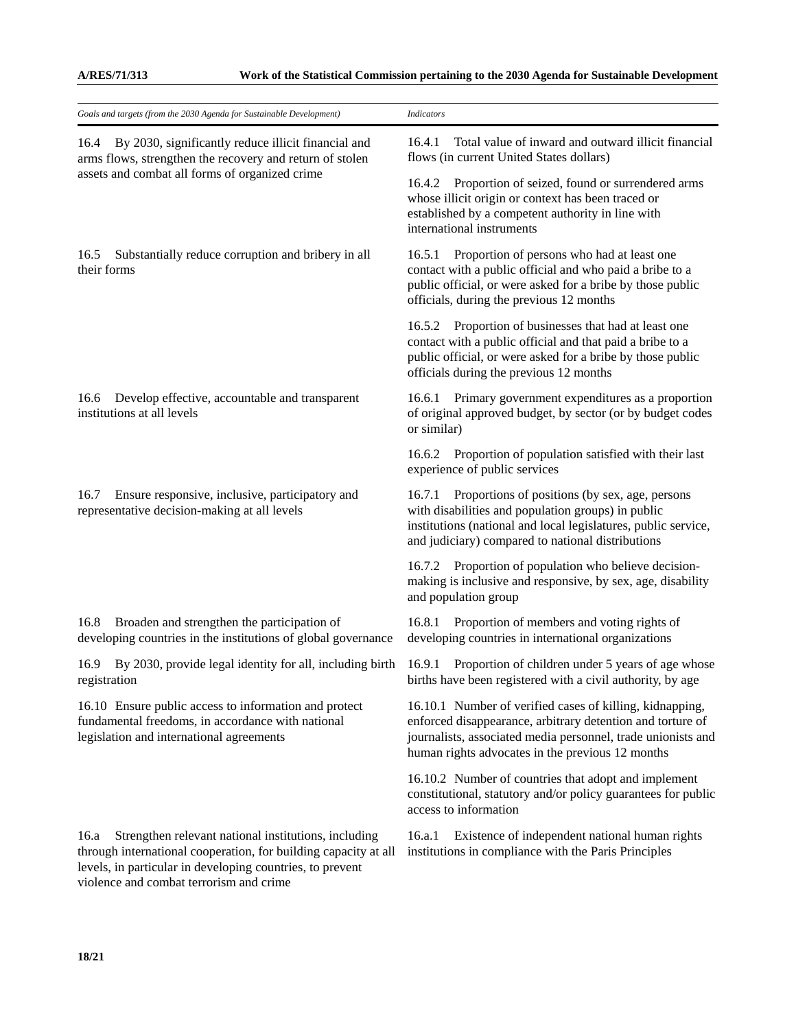| Goals and targets (from the 2030 Agenda for Sustainable Development)                                                                                                                                                                    | <b>Indicators</b>                                                                                                                                                                                                                          |
|-----------------------------------------------------------------------------------------------------------------------------------------------------------------------------------------------------------------------------------------|--------------------------------------------------------------------------------------------------------------------------------------------------------------------------------------------------------------------------------------------|
| By 2030, significantly reduce illicit financial and<br>16.4<br>arms flows, strengthen the recovery and return of stolen<br>assets and combat all forms of organized crime                                                               | Total value of inward and outward illicit financial<br>16.4.1<br>flows (in current United States dollars)                                                                                                                                  |
|                                                                                                                                                                                                                                         | 16.4.2 Proportion of seized, found or surrendered arms<br>whose illicit origin or context has been traced or<br>established by a competent authority in line with<br>international instruments                                             |
| Substantially reduce corruption and bribery in all<br>16.5<br>their forms                                                                                                                                                               | 16.5.1 Proportion of persons who had at least one<br>contact with a public official and who paid a bribe to a<br>public official, or were asked for a bribe by those public<br>officials, during the previous 12 months                    |
|                                                                                                                                                                                                                                         | 16.5.2 Proportion of businesses that had at least one<br>contact with a public official and that paid a bribe to a<br>public official, or were asked for a bribe by those public<br>officials during the previous 12 months                |
| Develop effective, accountable and transparent<br>16.6<br>institutions at all levels                                                                                                                                                    | 16.6.1 Primary government expenditures as a proportion<br>of original approved budget, by sector (or by budget codes<br>or similar)                                                                                                        |
|                                                                                                                                                                                                                                         | 16.6.2 Proportion of population satisfied with their last<br>experience of public services                                                                                                                                                 |
| Ensure responsive, inclusive, participatory and<br>16.7<br>representative decision-making at all levels                                                                                                                                 | Proportions of positions (by sex, age, persons<br>16.7.1<br>with disabilities and population groups) in public<br>institutions (national and local legislatures, public service,<br>and judiciary) compared to national distributions      |
|                                                                                                                                                                                                                                         | 16.7.2 Proportion of population who believe decision-<br>making is inclusive and responsive, by sex, age, disability<br>and population group                                                                                               |
| Broaden and strengthen the participation of<br>16.8<br>developing countries in the institutions of global governance                                                                                                                    | 16.8.1 Proportion of members and voting rights of<br>developing countries in international organizations                                                                                                                                   |
| By 2030, provide legal identity for all, including birth<br>16.9<br>registration                                                                                                                                                        | Proportion of children under 5 years of age whose<br>16.9.1<br>births have been registered with a civil authority, by age                                                                                                                  |
| 16.10 Ensure public access to information and protect<br>fundamental freedoms, in accordance with national<br>legislation and international agreements                                                                                  | 16.10.1 Number of verified cases of killing, kidnapping,<br>enforced disappearance, arbitrary detention and torture of<br>journalists, associated media personnel, trade unionists and<br>human rights advocates in the previous 12 months |
|                                                                                                                                                                                                                                         | 16.10.2 Number of countries that adopt and implement<br>constitutional, statutory and/or policy guarantees for public<br>access to information                                                                                             |
| Strengthen relevant national institutions, including<br>16.a<br>through international cooperation, for building capacity at all<br>levels, in particular in developing countries, to prevent<br>violence and combat terrorism and crime | Existence of independent national human rights<br>16.a.1<br>institutions in compliance with the Paris Principles                                                                                                                           |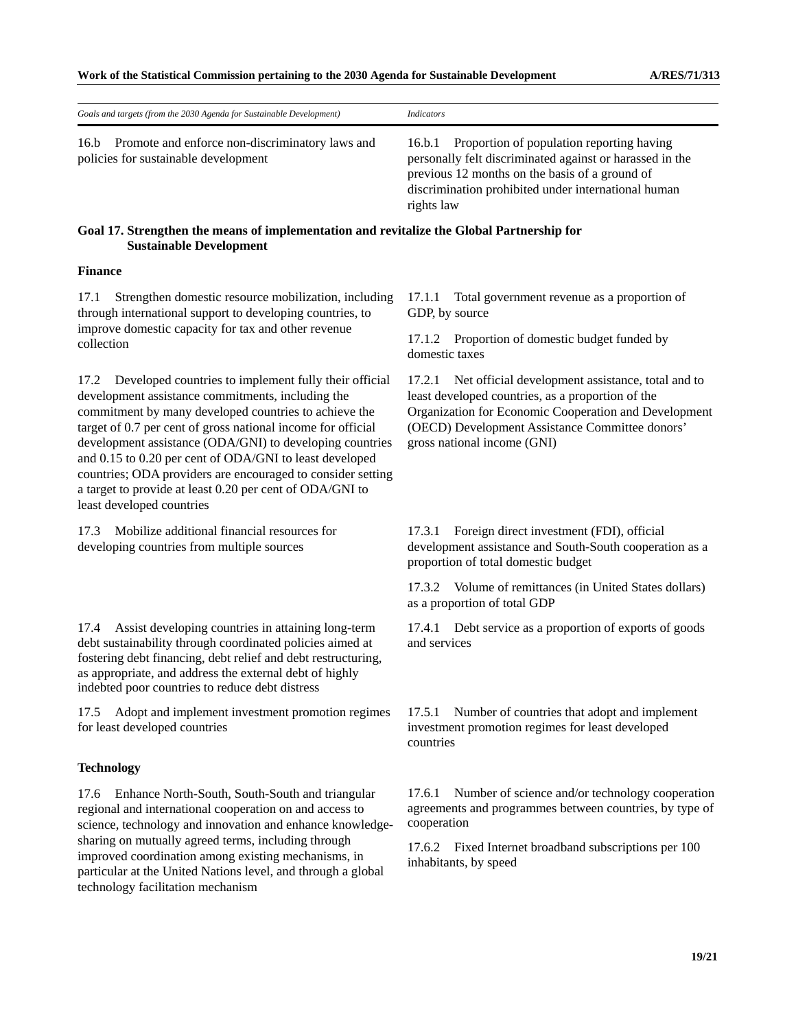| Goals and targets (from the 2030 Agenda for Sustainable Development)                                                                                                                                                                                                                                                                                                                                                                                                                                                       | <b>Indicators</b>                                                                                                                                                                                                                                           |  |
|----------------------------------------------------------------------------------------------------------------------------------------------------------------------------------------------------------------------------------------------------------------------------------------------------------------------------------------------------------------------------------------------------------------------------------------------------------------------------------------------------------------------------|-------------------------------------------------------------------------------------------------------------------------------------------------------------------------------------------------------------------------------------------------------------|--|
| 16.b<br>Promote and enforce non-discriminatory laws and<br>policies for sustainable development                                                                                                                                                                                                                                                                                                                                                                                                                            | Proportion of population reporting having<br>16.b.1<br>personally felt discriminated against or harassed in the<br>previous 12 months on the basis of a ground of<br>discrimination prohibited under international human<br>rights law                      |  |
| Goal 17. Strengthen the means of implementation and revitalize the Global Partnership for<br><b>Sustainable Development</b>                                                                                                                                                                                                                                                                                                                                                                                                |                                                                                                                                                                                                                                                             |  |
| <b>Finance</b>                                                                                                                                                                                                                                                                                                                                                                                                                                                                                                             |                                                                                                                                                                                                                                                             |  |
| Strengthen domestic resource mobilization, including<br>17.1<br>through international support to developing countries, to<br>improve domestic capacity for tax and other revenue<br>collection                                                                                                                                                                                                                                                                                                                             | Total government revenue as a proportion of<br>17.1.1<br>GDP, by source                                                                                                                                                                                     |  |
|                                                                                                                                                                                                                                                                                                                                                                                                                                                                                                                            | 17.1.2 Proportion of domestic budget funded by<br>domestic taxes                                                                                                                                                                                            |  |
| Developed countries to implement fully their official<br>17.2<br>development assistance commitments, including the<br>commitment by many developed countries to achieve the<br>target of 0.7 per cent of gross national income for official<br>development assistance (ODA/GNI) to developing countries<br>and 0.15 to 0.20 per cent of ODA/GNI to least developed<br>countries; ODA providers are encouraged to consider setting<br>a target to provide at least 0.20 per cent of ODA/GNI to<br>least developed countries | Net official development assistance, total and to<br>17.2.1<br>least developed countries, as a proportion of the<br>Organization for Economic Cooperation and Development<br>(OECD) Development Assistance Committee donors'<br>gross national income (GNI) |  |
| Mobilize additional financial resources for<br>17.3<br>developing countries from multiple sources                                                                                                                                                                                                                                                                                                                                                                                                                          | Foreign direct investment (FDI), official<br>17.3.1<br>development assistance and South-South cooperation as a<br>proportion of total domestic budget                                                                                                       |  |
|                                                                                                                                                                                                                                                                                                                                                                                                                                                                                                                            | Volume of remittances (in United States dollars)<br>17.3.2<br>as a proportion of total GDP                                                                                                                                                                  |  |
| Assist developing countries in attaining long-term<br>17.4<br>debt sustainability through coordinated policies aimed at<br>fostering debt financing, debt relief and debt restructuring,<br>as appropriate, and address the external debt of highly<br>indebted poor countries to reduce debt distress                                                                                                                                                                                                                     | Debt service as a proportion of exports of goods<br>17.4.1<br>and services                                                                                                                                                                                  |  |
| Adopt and implement investment promotion regimes<br>17.5<br>for least developed countries                                                                                                                                                                                                                                                                                                                                                                                                                                  | Number of countries that adopt and implement<br>17.5.1<br>investment promotion regimes for least developed<br>countries                                                                                                                                     |  |
| <b>Technology</b>                                                                                                                                                                                                                                                                                                                                                                                                                                                                                                          |                                                                                                                                                                                                                                                             |  |
| Enhance North-South, South-South and triangular<br>17.6<br>regional and international cooperation on and access to<br>science, technology and innovation and enhance knowledge-<br>sharing on mutually agreed terms, including through<br>improved coordination among existing mechanisms, in<br>particular at the United Nations level, and through a global<br>technology facilitation mechanism                                                                                                                         | Number of science and/or technology cooperation<br>17.6.1<br>agreements and programmes between countries, by type of<br>cooperation<br>17.6.2<br>Fixed Internet broadband subscriptions per 100<br>inhabitants, by speed                                    |  |
|                                                                                                                                                                                                                                                                                                                                                                                                                                                                                                                            |                                                                                                                                                                                                                                                             |  |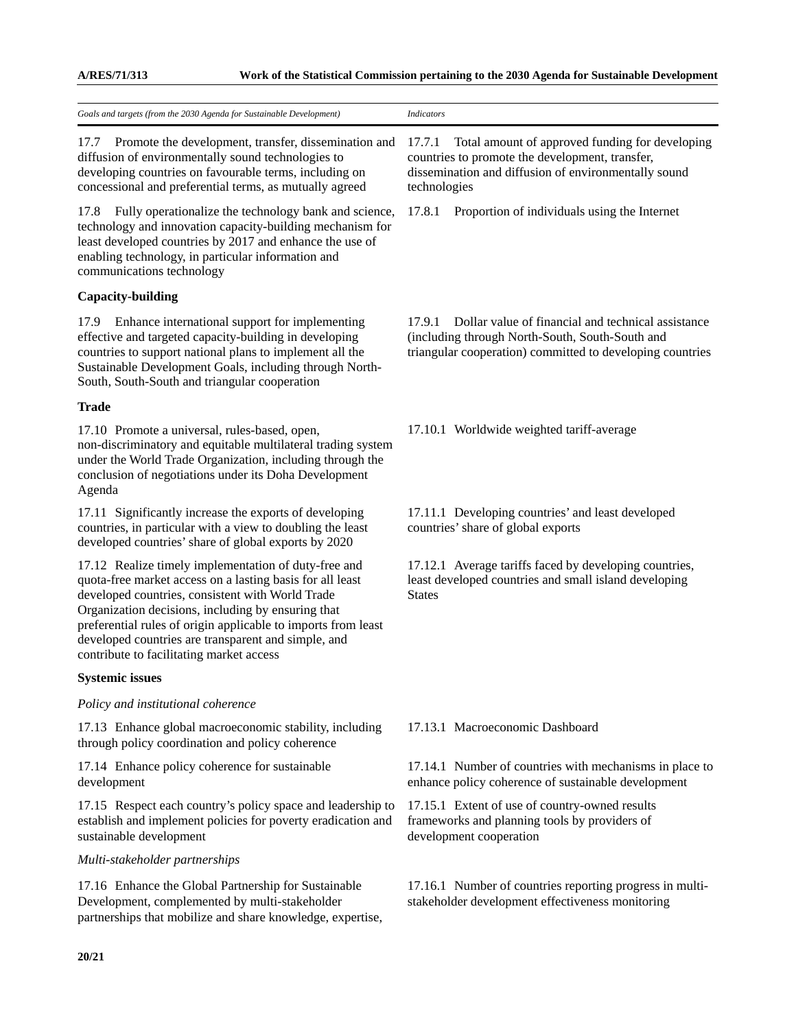| Goals and targets (from the 2030 Agenda for Sustainable Development)                                                                                                                                                                                                                                                                                                                            | <b>Indicators</b>                                                                                                                                                                    |
|-------------------------------------------------------------------------------------------------------------------------------------------------------------------------------------------------------------------------------------------------------------------------------------------------------------------------------------------------------------------------------------------------|--------------------------------------------------------------------------------------------------------------------------------------------------------------------------------------|
| Promote the development, transfer, dissemination and<br>17.7<br>diffusion of environmentally sound technologies to<br>developing countries on favourable terms, including on<br>concessional and preferential terms, as mutually agreed                                                                                                                                                         | Total amount of approved funding for developing<br>17.7.1<br>countries to promote the development, transfer,<br>dissemination and diffusion of environmentally sound<br>technologies |
| Fully operationalize the technology bank and science,<br>17.8<br>technology and innovation capacity-building mechanism for<br>least developed countries by 2017 and enhance the use of<br>enabling technology, in particular information and<br>communications technology                                                                                                                       | 17.8.1<br>Proportion of individuals using the Internet                                                                                                                               |
| <b>Capacity-building</b>                                                                                                                                                                                                                                                                                                                                                                        |                                                                                                                                                                                      |
| 17.9<br>Enhance international support for implementing<br>effective and targeted capacity-building in developing<br>countries to support national plans to implement all the<br>Sustainable Development Goals, including through North-<br>South, South-South and triangular cooperation                                                                                                        | Dollar value of financial and technical assistance<br>17.9.1<br>(including through North-South, South-South and<br>triangular cooperation) committed to developing countries         |
| <b>Trade</b>                                                                                                                                                                                                                                                                                                                                                                                    |                                                                                                                                                                                      |
| 17.10 Promote a universal, rules-based, open,<br>non-discriminatory and equitable multilateral trading system<br>under the World Trade Organization, including through the<br>conclusion of negotiations under its Doha Development<br>Agenda                                                                                                                                                   | 17.10.1 Worldwide weighted tariff-average                                                                                                                                            |
| 17.11 Significantly increase the exports of developing<br>countries, in particular with a view to doubling the least<br>developed countries' share of global exports by 2020                                                                                                                                                                                                                    | 17.11.1 Developing countries' and least developed<br>countries' share of global exports                                                                                              |
| 17.12 Realize timely implementation of duty-free and<br>quota-free market access on a lasting basis for all least<br>developed countries, consistent with World Trade<br>Organization decisions, including by ensuring that<br>preferential rules of origin applicable to imports from least<br>developed countries are transparent and simple, and<br>contribute to facilitating market access | 17.12.1 Average tariffs faced by developing countries,<br>least developed countries and small island developing<br><b>States</b>                                                     |
| <b>Systemic issues</b>                                                                                                                                                                                                                                                                                                                                                                          |                                                                                                                                                                                      |
| Policy and institutional coherence                                                                                                                                                                                                                                                                                                                                                              |                                                                                                                                                                                      |
| 17.13 Enhance global macroeconomic stability, including<br>through policy coordination and policy coherence                                                                                                                                                                                                                                                                                     | 17.13.1 Macroeconomic Dashboard                                                                                                                                                      |
| 17.14 Enhance policy coherence for sustainable<br>development                                                                                                                                                                                                                                                                                                                                   | 17.14.1 Number of countries with mechanisms in place to<br>enhance policy coherence of sustainable development                                                                       |
| 17.15 Respect each country's policy space and leadership to<br>establish and implement policies for poverty eradication and<br>sustainable development                                                                                                                                                                                                                                          | 17.15.1 Extent of use of country-owned results<br>frameworks and planning tools by providers of<br>development cooperation                                                           |
| Multi-stakeholder partnerships                                                                                                                                                                                                                                                                                                                                                                  |                                                                                                                                                                                      |
| 17.16 Enhance the Global Partnership for Sustainable<br>Development, complemented by multi-stakeholder<br>partnerships that mobilize and share knowledge, expertise,                                                                                                                                                                                                                            | 17.16.1 Number of countries reporting progress in multi-<br>stakeholder development effectiveness monitoring                                                                         |
| 20/21                                                                                                                                                                                                                                                                                                                                                                                           |                                                                                                                                                                                      |